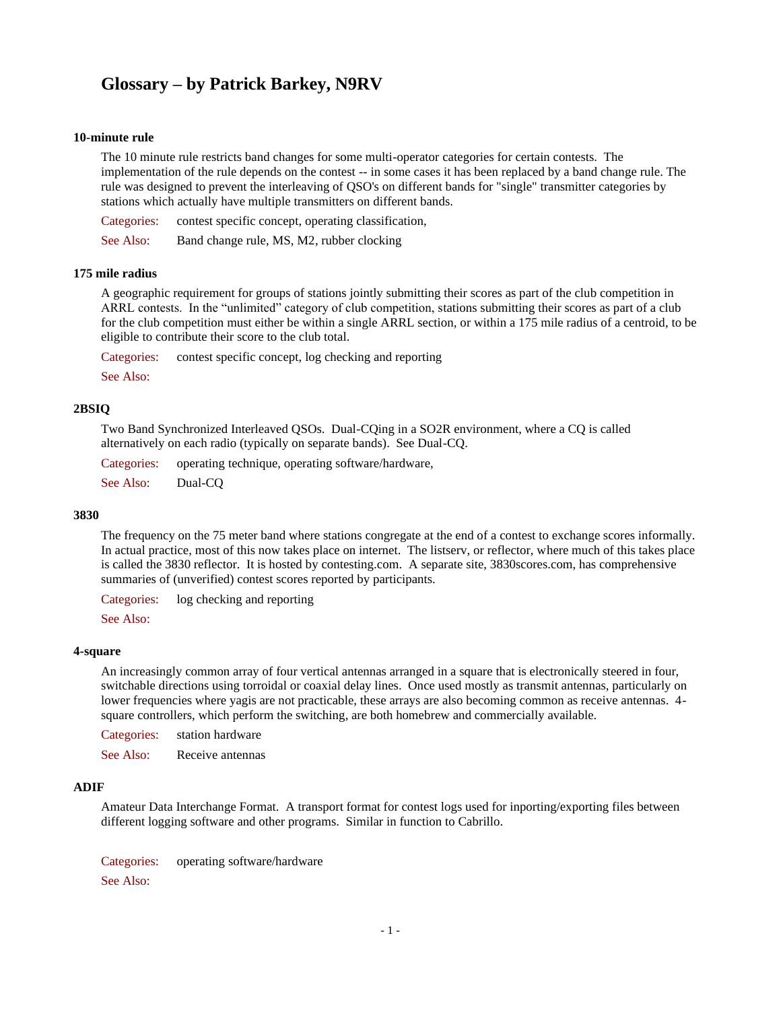# **Glossary – by Patrick Barkey, N9RV**

### **10-minute rule**

The 10 minute rule restricts band changes for some multi-operator categories for certain contests. The implementation of the rule depends on the contest -- in some cases it has been replaced by a band change rule. The rule was designed to prevent the interleaving of QSO's on different bands for "single" transmitter categories by stations which actually have multiple transmitters on different bands.

Categories: contest specific concept, operating classification,

See Also: Band change rule, MS, M2, rubber clocking

### **175 mile radius**

A geographic requirement for groups of stations jointly submitting their scores as part of the club competition in ARRL contests. In the "unlimited" category of club competition, stations submitting their scores as part of a club for the club competition must either be within a single ARRL section, or within a 175 mile radius of a centroid, to be eligible to contribute their score to the club total.

Categories: contest specific concept, log checking and reporting

See Also:

### **2BSIQ**

Two Band Synchronized Interleaved QSOs. Dual-CQing in a SO2R environment, where a CQ is called alternatively on each radio (typically on separate bands). See Dual-CQ.

Categories: operating technique, operating software/hardware, See Also: Dual-CQ

### **3830**

The frequency on the 75 meter band where stations congregate at the end of a contest to exchange scores informally. In actual practice, most of this now takes place on internet. The listserv, or reflector, where much of this takes place is called the 3830 reflector. It is hosted by contesting.com. A separate site, 3830scores.com, has comprehensive summaries of (unverified) contest scores reported by participants.

Categories: log checking and reporting

See Also:

#### **4-square**

An increasingly common array of four vertical antennas arranged in a square that is electronically steered in four, switchable directions using torroidal or coaxial delay lines. Once used mostly as transmit antennas, particularly on lower frequencies where yagis are not practicable, these arrays are also becoming common as receive antennas. 4square controllers, which perform the switching, are both homebrew and commercially available.

Categories: station hardware

See Also: Receive antennas

## **ADIF**

Amateur Data Interchange Format. A transport format for contest logs used for inporting/exporting files between different logging software and other programs. Similar in function to Cabrillo.

Categories: operating software/hardware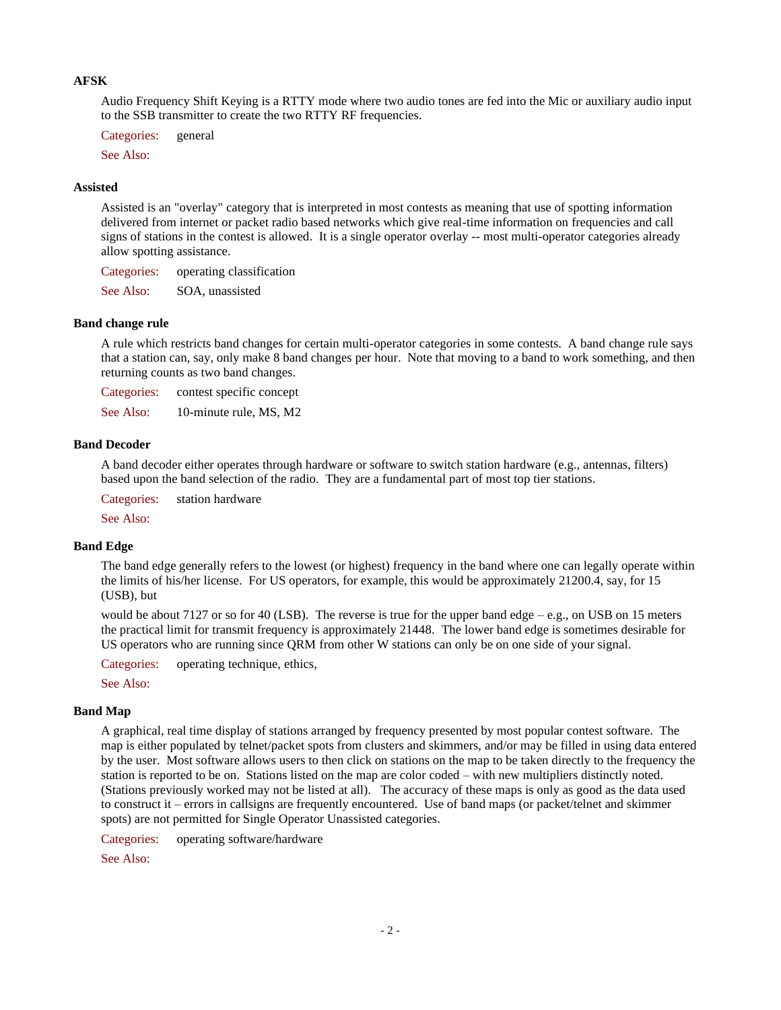## **AFSK**

Audio Frequency Shift Keying is a RTTY mode where two audio tones are fed into the Mic or auxiliary audio input to the SSB transmitter to create the two RTTY RF frequencies.

Categories: general

See Also:

#### **Assisted**

Assisted is an "overlay" category that is interpreted in most contests as meaning that use of spotting information delivered from internet or packet radio based networks which give real-time information on frequencies and call signs of stations in the contest is allowed. It is a single operator overlay -- most multi-operator categories already allow spotting assistance.

Categories: operating classification

See Also: SOA, unassisted

#### **Band change rule**

A rule which restricts band changes for certain multi-operator categories in some contests. A band change rule says that a station can, say, only make 8 band changes per hour. Note that moving to a band to work something, and then returning counts as two band changes.

Categories: contest specific concept See Also: 10-minute rule, MS, M2

#### **Band Decoder**

A band decoder either operates through hardware or software to switch station hardware (e.g., antennas, filters) based upon the band selection of the radio. They are a fundamental part of most top tier stations.

Categories: station hardware

See Also:

## **Band Edge**

The band edge generally refers to the lowest (or highest) frequency in the band where one can legally operate within the limits of his/her license. For US operators, for example, this would be approximately 21200.4, say, for 15 (USB), but

would be about 7127 or so for 40 (LSB). The reverse is true for the upper band edge – e.g., on USB on 15 meters the practical limit for transmit frequency is approximately 21448. The lower band edge is sometimes desirable for US operators who are running since QRM from other W stations can only be on one side of your signal.

Categories: operating technique, ethics,

See Also:

#### **Band Map**

A graphical, real time display of stations arranged by frequency presented by most popular contest software. The map is either populated by telnet/packet spots from clusters and skimmers, and/or may be filled in using data entered by the user. Most software allows users to then click on stations on the map to be taken directly to the frequency the station is reported to be on. Stations listed on the map are color coded – with new multipliers distinctly noted. (Stations previously worked may not be listed at all). The accuracy of these maps is only as good as the data used to construct it – errors in callsigns are frequently encountered. Use of band maps (or packet/telnet and skimmer spots) are not permitted for Single Operator Unassisted categories.

Categories: operating software/hardware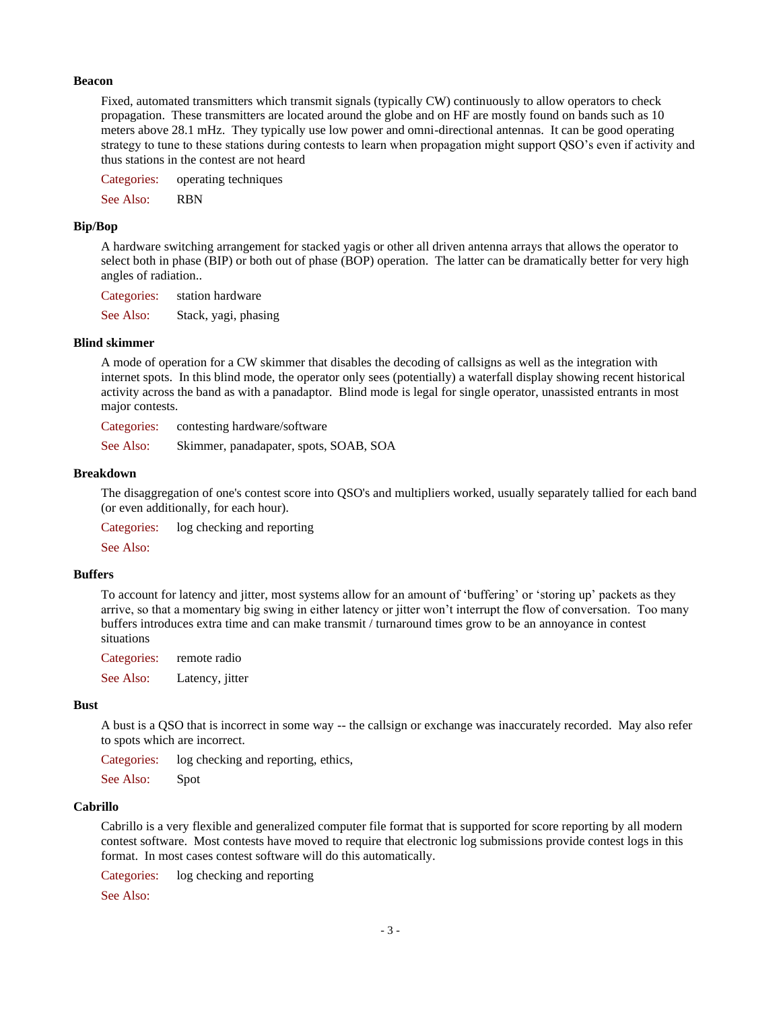#### **Beacon**

Fixed, automated transmitters which transmit signals (typically CW) continuously to allow operators to check propagation. These transmitters are located around the globe and on HF are mostly found on bands such as 10 meters above 28.1 mHz. They typically use low power and omni-directional antennas. It can be good operating strategy to tune to these stations during contests to learn when propagation might support QSO's even if activity and thus stations in the contest are not heard

Categories: operating techniques

See Also: RBN

#### **Bip/Bop**

A hardware switching arrangement for stacked yagis or other all driven antenna arrays that allows the operator to select both in phase (BIP) or both out of phase (BOP) operation. The latter can be dramatically better for very high angles of radiation..

Categories: station hardware

See Also: Stack, yagi, phasing

#### **Blind skimmer**

A mode of operation for a CW skimmer that disables the decoding of callsigns as well as the integration with internet spots. In this blind mode, the operator only sees (potentially) a waterfall display showing recent historical activity across the band as with a panadaptor. Blind mode is legal for single operator, unassisted entrants in most major contests.

Categories: contesting hardware/software

See Also: Skimmer, panadapater, spots, SOAB, SOA

#### **Breakdown**

The disaggregation of one's contest score into QSO's and multipliers worked, usually separately tallied for each band (or even additionally, for each hour).

Categories: log checking and reporting

See Also:

### **Buffers**

To account for latency and jitter, most systems allow for an amount of 'buffering' or 'storing up' packets as they arrive, so that a momentary big swing in either latency or jitter won't interrupt the flow of conversation. Too many buffers introduces extra time and can make transmit / turnaround times grow to be an annoyance in contest situations

Categories: remote radio See Also: Latency, jitter

#### **Bust**

A bust is a QSO that is incorrect in some way -- the callsign or exchange was inaccurately recorded. May also refer to spots which are incorrect.

Categories: log checking and reporting, ethics,

See Also: Spot

#### **Cabrillo**

Cabrillo is a very flexible and generalized computer file format that is supported for score reporting by all modern contest software. Most contests have moved to require that electronic log submissions provide contest logs in this format. In most cases contest software will do this automatically.

Categories: log checking and reporting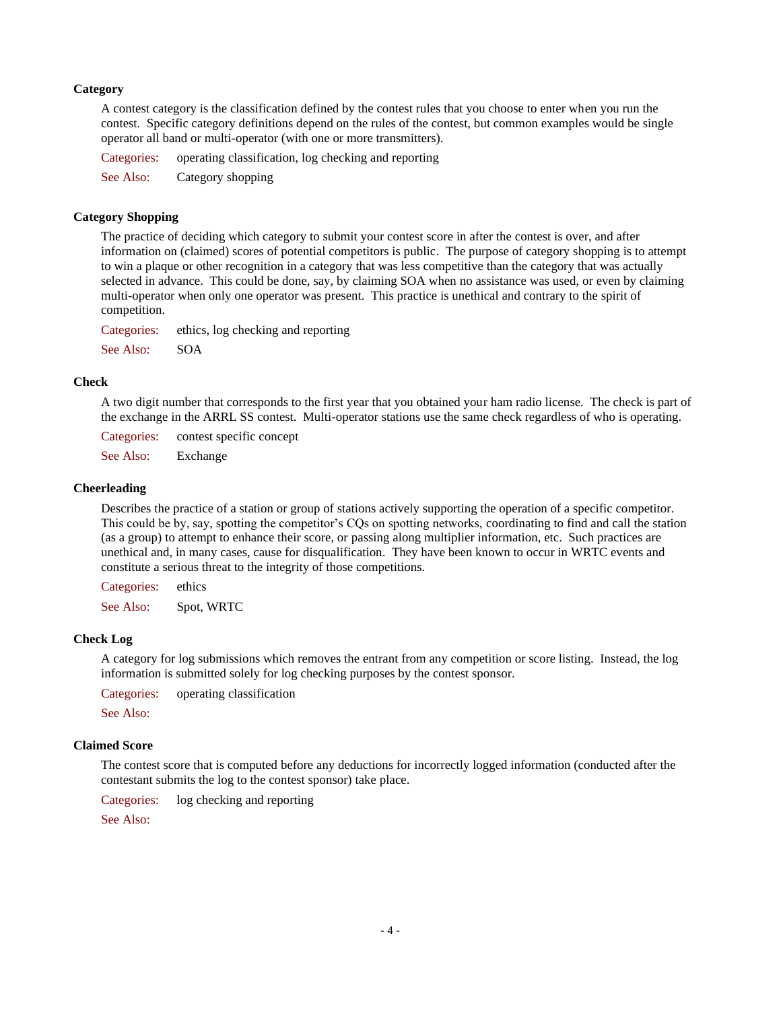### **Category**

A contest category is the classification defined by the contest rules that you choose to enter when you run the contest. Specific category definitions depend on the rules of the contest, but common examples would be single operator all band or multi-operator (with one or more transmitters).

Categories: operating classification, log checking and reporting

See Also: Category shopping

### **Category Shopping**

The practice of deciding which category to submit your contest score in after the contest is over, and after information on (claimed) scores of potential competitors is public. The purpose of category shopping is to attempt to win a plaque or other recognition in a category that was less competitive than the category that was actually selected in advance. This could be done, say, by claiming SOA when no assistance was used, or even by claiming multi-operator when only one operator was present. This practice is unethical and contrary to the spirit of competition.

Categories: ethics, log checking and reporting See Also: SOA

#### **Check**

A two digit number that corresponds to the first year that you obtained your ham radio license. The check is part of the exchange in the ARRL SS contest. Multi-operator stations use the same check regardless of who is operating.

Categories: contest specific concept

See Also: Exchange

#### **Cheerleading**

Describes the practice of a station or group of stations actively supporting the operation of a specific competitor. This could be by, say, spotting the competitor's CQs on spotting networks, coordinating to find and call the station (as a group) to attempt to enhance their score, or passing along multiplier information, etc. Such practices are unethical and, in many cases, cause for disqualification. They have been known to occur in WRTC events and constitute a serious threat to the integrity of those competitions.

Categories: ethics See Also: Spot, WRTC

### **Check Log**

A category for log submissions which removes the entrant from any competition or score listing. Instead, the log information is submitted solely for log checking purposes by the contest sponsor.

Categories: operating classification

See Also:

### **Claimed Score**

The contest score that is computed before any deductions for incorrectly logged information (conducted after the contestant submits the log to the contest sponsor) take place.

Categories: log checking and reporting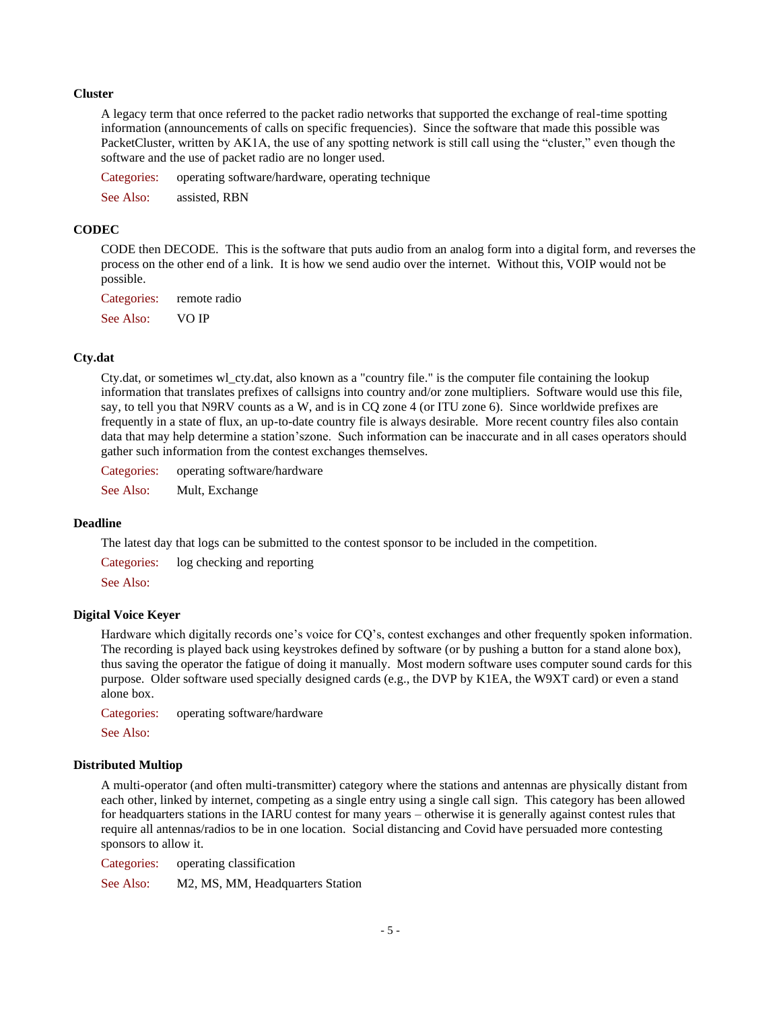#### **Cluster**

A legacy term that once referred to the packet radio networks that supported the exchange of real-time spotting information (announcements of calls on specific frequencies). Since the software that made this possible was PacketCluster, written by AK1A, the use of any spotting network is still call using the "cluster," even though the software and the use of packet radio are no longer used.

Categories: operating software/hardware, operating technique

See Also: assisted, RBN

### **CODEC**

CODE then DECODE. This is the software that puts audio from an analog form into a digital form, and reverses the process on the other end of a link. It is how we send audio over the internet. Without this, VOIP would not be possible.

Categories: remote radio See Also: VO IP

### **Cty.dat**

Cty.dat, or sometimes wl\_cty.dat, also known as a "country file." is the computer file containing the lookup information that translates prefixes of callsigns into country and/or zone multipliers. Software would use this file, say, to tell you that N9RV counts as a W, and is in CQ zone 4 (or ITU zone 6). Since worldwide prefixes are frequently in a state of flux, an up-to-date country file is always desirable. More recent country files also contain data that may help determine a station'szone. Such information can be inaccurate and in all cases operators should gather such information from the contest exchanges themselves.

Categories: operating software/hardware

See Also: Mult, Exchange

#### **Deadline**

The latest day that logs can be submitted to the contest sponsor to be included in the competition.

Categories: log checking and reporting

See Also:

#### **Digital Voice Keyer**

Hardware which digitally records one's voice for CQ's, contest exchanges and other frequently spoken information. The recording is played back using keystrokes defined by software (or by pushing a button for a stand alone box), thus saving the operator the fatigue of doing it manually. Most modern software uses computer sound cards for this purpose. Older software used specially designed cards (e.g., the DVP by K1EA, the W9XT card) or even a stand alone box.

Categories: operating software/hardware

See Also:

### **Distributed Multiop**

A multi-operator (and often multi-transmitter) category where the stations and antennas are physically distant from each other, linked by internet, competing as a single entry using a single call sign. This category has been allowed for headquarters stations in the IARU contest for many years – otherwise it is generally against contest rules that require all antennas/radios to be in one location. Social distancing and Covid have persuaded more contesting sponsors to allow it.

Categories: operating classification

See Also: M2, MS, MM, Headquarters Station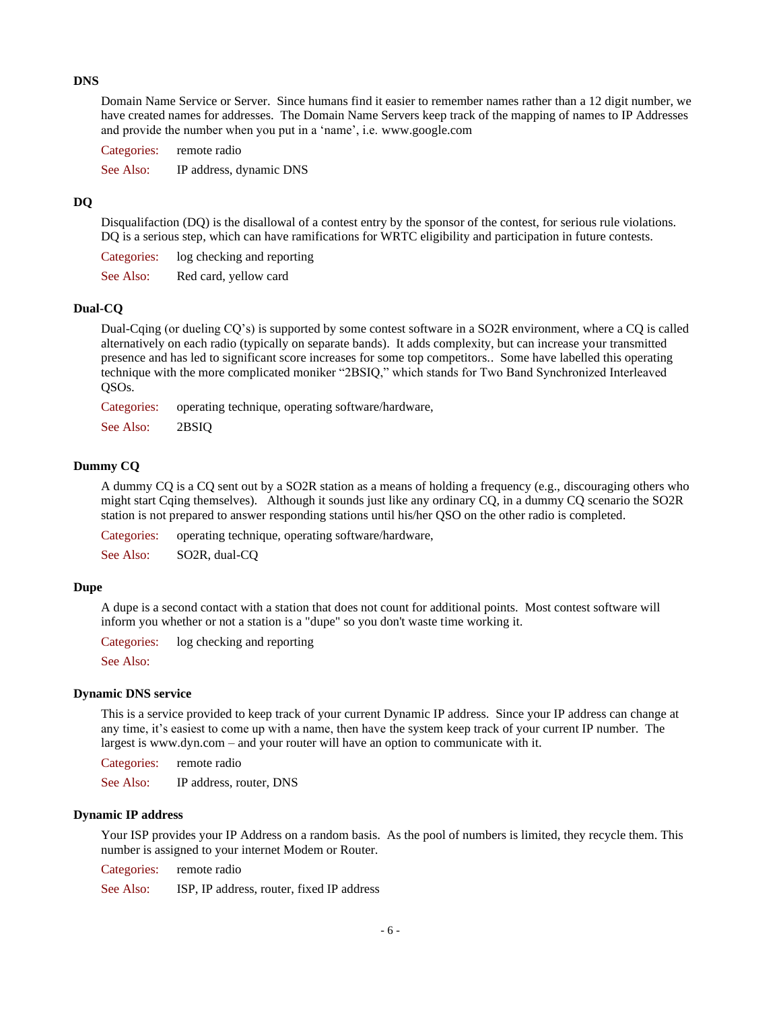### **DNS**

Domain Name Service or Server. Since humans find it easier to remember names rather than a 12 digit number, we have created names for addresses. The Domain Name Servers keep track of the mapping of names to IP Addresses and provide the number when you put in a 'name', i.e. [www.google.com](http://www.google.com/)

Categories: remote radio

See Also: IP address, dynamic DNS

## **DQ**

Disqualifaction (DQ) is the disallowal of a contest entry by the sponsor of the contest, for serious rule violations. DQ is a serious step, which can have ramifications for WRTC eligibility and participation in future contests.

Categories: log checking and reporting

See Also: Red card, yellow card

## **Dual-CQ**

Dual-Cqing (or dueling CQ's) is supported by some contest software in a SO2R environment, where a CQ is called alternatively on each radio (typically on separate bands). It adds complexity, but can increase your transmitted presence and has led to significant score increases for some top competitors.. Some have labelled this operating technique with the more complicated moniker "2BSIQ," which stands for Two Band Synchronized Interleaved QSOs.

Categories: operating technique, operating software/hardware,

See Also: 2BSIQ

### **Dummy CQ**

A dummy CQ is a CQ sent out by a SO2R station as a means of holding a frequency (e.g., discouraging others who might start Cqing themselves). Although it sounds just like any ordinary CQ, in a dummy CQ scenario the SO2R station is not prepared to answer responding stations until his/her QSO on the other radio is completed.

Categories: operating technique, operating software/hardware,

See Also: SO2R, dual-CQ

### **Dupe**

A dupe is a second contact with a station that does not count for additional points. Most contest software will inform you whether or not a station is a "dupe" so you don't waste time working it.

Categories: log checking and reporting

See Also:

### **Dynamic DNS service**

This is a service provided to keep track of your current Dynamic IP address. Since your IP address can change at any time, it's easiest to come up with a name, then have the system keep track of your current IP number. The largest i[s www.dyn.com](http://www.dyn.com/) – and your router will have an option to communicate with it.

Categories: remote radio

See Also: IP address, router, DNS

#### **Dynamic IP address**

Your ISP provides your IP Address on a random basis. As the pool of numbers is limited, they recycle them. This number is assigned to your internet Modem or Router.

Categories: remote radio

See Also: ISP, IP address, router, fixed IP address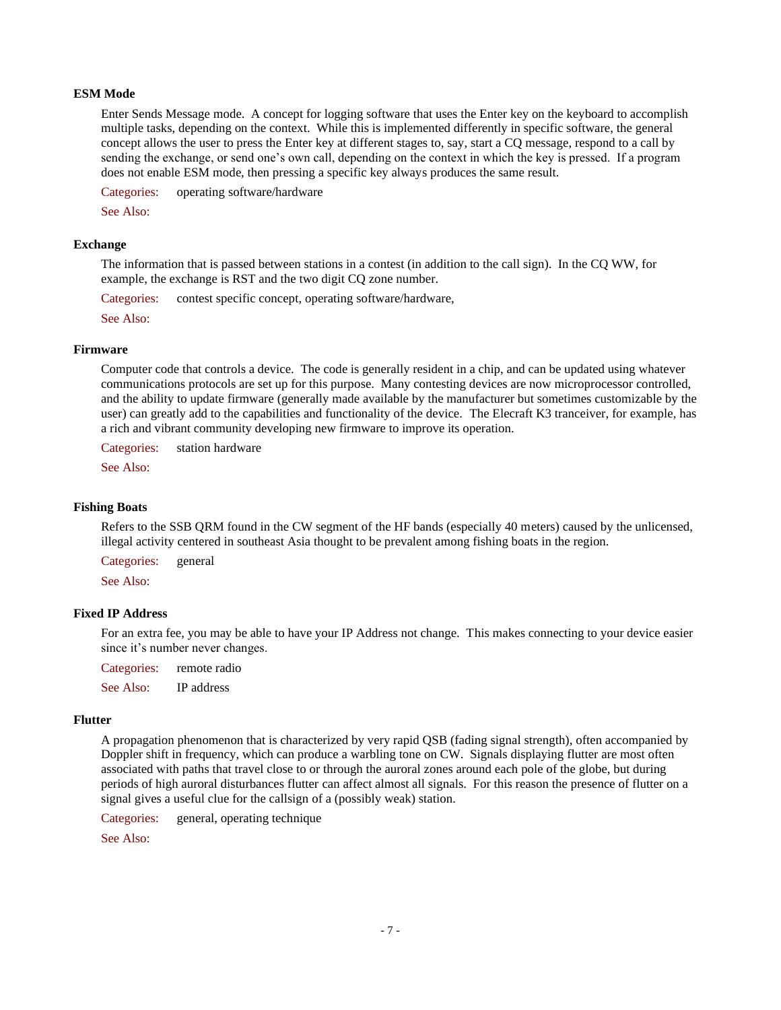### **ESM Mode**

Enter Sends Message mode. A concept for logging software that uses the Enter key on the keyboard to accomplish multiple tasks, depending on the context. While this is implemented differently in specific software, the general concept allows the user to press the Enter key at different stages to, say, start a CQ message, respond to a call by sending the exchange, or send one's own call, depending on the context in which the key is pressed. If a program does not enable ESM mode, then pressing a specific key always produces the same result.

Categories: operating software/hardware

See Also:

#### **Exchange**

The information that is passed between stations in a contest (in addition to the call sign). In the CQ WW, for example, the exchange is RST and the two digit CQ zone number.

Categories: contest specific concept, operating software/hardware,

See Also:

#### **Firmware**

Computer code that controls a device. The code is generally resident in a chip, and can be updated using whatever communications protocols are set up for this purpose. Many contesting devices are now microprocessor controlled, and the ability to update firmware (generally made available by the manufacturer but sometimes customizable by the user) can greatly add to the capabilities and functionality of the device. The Elecraft K3 tranceiver, for example, has a rich and vibrant community developing new firmware to improve its operation.

Categories: station hardware

See Also:

### **Fishing Boats**

Refers to the SSB QRM found in the CW segment of the HF bands (especially 40 meters) caused by the unlicensed, illegal activity centered in southeast Asia thought to be prevalent among fishing boats in the region.

Categories: general

See Also:

### **Fixed IP Address**

For an extra fee, you may be able to have your IP Address not change. This makes connecting to your device easier since it's number never changes.

Categories: remote radio

See Also: IP address

#### **Flutter**

A propagation phenomenon that is characterized by very rapid QSB (fading signal strength), often accompanied by Doppler shift in frequency, which can produce a warbling tone on CW. Signals displaying flutter are most often associated with paths that travel close to or through the auroral zones around each pole of the globe, but during periods of high auroral disturbances flutter can affect almost all signals. For this reason the presence of flutter on a signal gives a useful clue for the callsign of a (possibly weak) station.

Categories: general, operating technique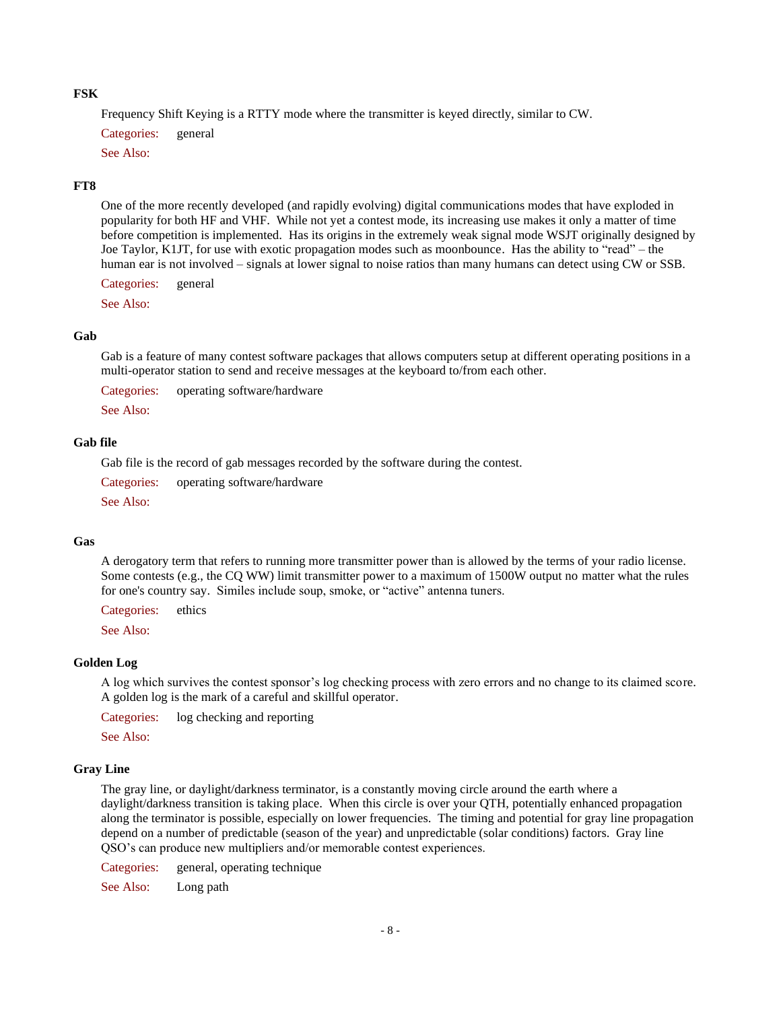### **FSK**

Frequency Shift Keying is a RTTY mode where the transmitter is keyed directly, similar to CW.

Categories: general

See Also:

#### **FT8**

One of the more recently developed (and rapidly evolving) digital communications modes that have exploded in popularity for both HF and VHF. While not yet a contest mode, its increasing use makes it only a matter of time before competition is implemented. Has its origins in the extremely weak signal mode WSJT originally designed by Joe Taylor, K1JT, for use with exotic propagation modes such as moonbounce. Has the ability to "read" – the human ear is not involved – signals at lower signal to noise ratios than many humans can detect using CW or SSB.

Categories: general

See Also:

#### **Gab**

Gab is a feature of many contest software packages that allows computers setup at different operating positions in a multi-operator station to send and receive messages at the keyboard to/from each other.

Categories: operating software/hardware

See Also:

## **Gab file**

Gab file is the record of gab messages recorded by the software during the contest.

Categories: operating software/hardware

See Also:

#### **Gas**

A derogatory term that refers to running more transmitter power than is allowed by the terms of your radio license. Some contests (e.g., the CQ WW) limit transmitter power to a maximum of 1500W output no matter what the rules for one's country say. Similes include soup, smoke, or "active" antenna tuners.

Categories: ethics

See Also:

#### **Golden Log**

A log which survives the contest sponsor's log checking process with zero errors and no change to its claimed score. A golden log is the mark of a careful and skillful operator.

Categories: log checking and reporting

See Also:

### **Gray Line**

The gray line, or daylight/darkness terminator, is a constantly moving circle around the earth where a daylight/darkness transition is taking place. When this circle is over your QTH, potentially enhanced propagation along the terminator is possible, especially on lower frequencies. The timing and potential for gray line propagation depend on a number of predictable (season of the year) and unpredictable (solar conditions) factors. Gray line QSO's can produce new multipliers and/or memorable contest experiences.

Categories: general, operating technique

See Also: Long path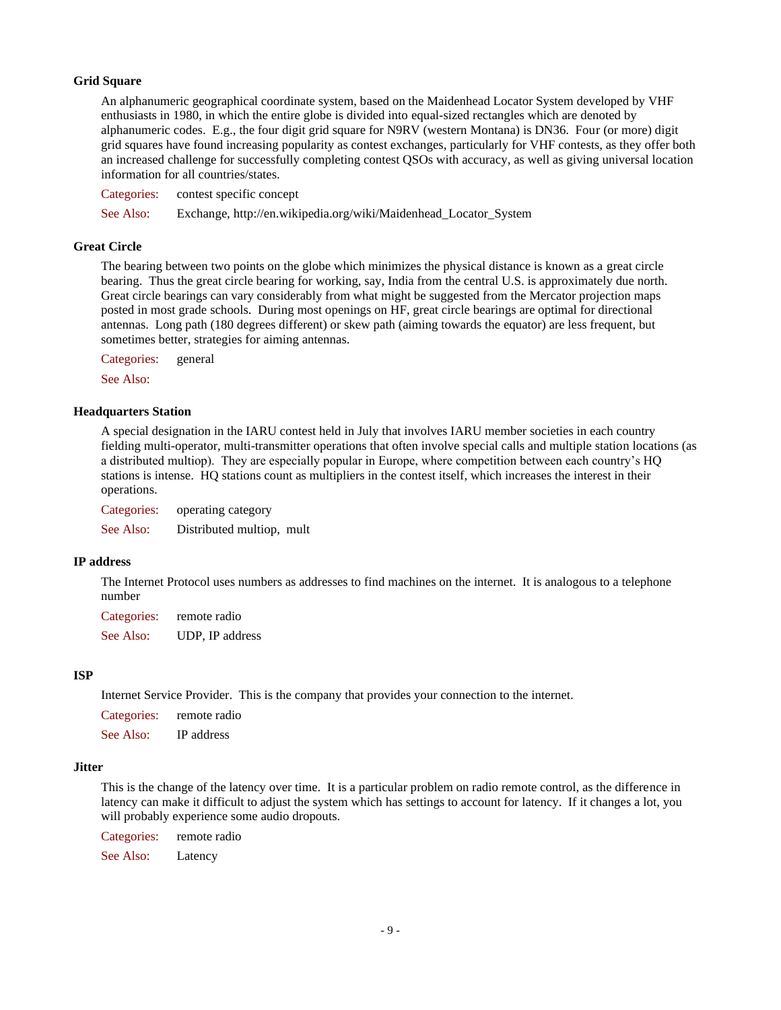## **Grid Square**

An alphanumeric geographical coordinate system, based on the Maidenhead Locator System developed by VHF enthusiasts in 1980, in which the entire globe is divided into equal-sized rectangles which are denoted by alphanumeric codes. E.g., the four digit grid square for N9RV (western Montana) is DN36. Four (or more) digit grid squares have found increasing popularity as contest exchanges, particularly for VHF contests, as they offer both an increased challenge for successfully completing contest QSOs with accuracy, as well as giving universal location information for all countries/states.

Categories: contest specific concept See Also: Exchange, http://en.wikipedia.org/wiki/Maidenhead\_Locator\_System

### **Great Circle**

The bearing between two points on the globe which minimizes the physical distance is known as a great circle bearing. Thus the great circle bearing for working, say, India from the central U.S. is approximately due north. Great circle bearings can vary considerably from what might be suggested from the Mercator projection maps posted in most grade schools. During most openings on HF, great circle bearings are optimal for directional antennas. Long path (180 degrees different) or skew path (aiming towards the equator) are less frequent, but sometimes better, strategies for aiming antennas.

Categories: general

See Also:

#### **Headquarters Station**

A special designation in the IARU contest held in July that involves IARU member societies in each country fielding multi-operator, multi-transmitter operations that often involve special calls and multiple station locations (as a distributed multiop). They are especially popular in Europe, where competition between each country's HQ stations is intense. HQ stations count as multipliers in the contest itself, which increases the interest in their operations.

Categories: operating category See Also: Distributed multiop, mult

### **IP address**

The Internet Protocol uses numbers as addresses to find machines on the internet. It is analogous to a telephone number

Categories: remote radio See Also: UDP, IP address

### **ISP**

Internet Service Provider. This is the company that provides your connection to the internet.

Categories: remote radio

See Also: IP address

#### **Jitter**

This is the change of the latency over time. It is a particular problem on radio remote control, as the difference in latency can make it difficult to adjust the system which has settings to account for latency. If it changes a lot, you will probably experience some audio dropouts.

Categories: remote radio

See Also: Latency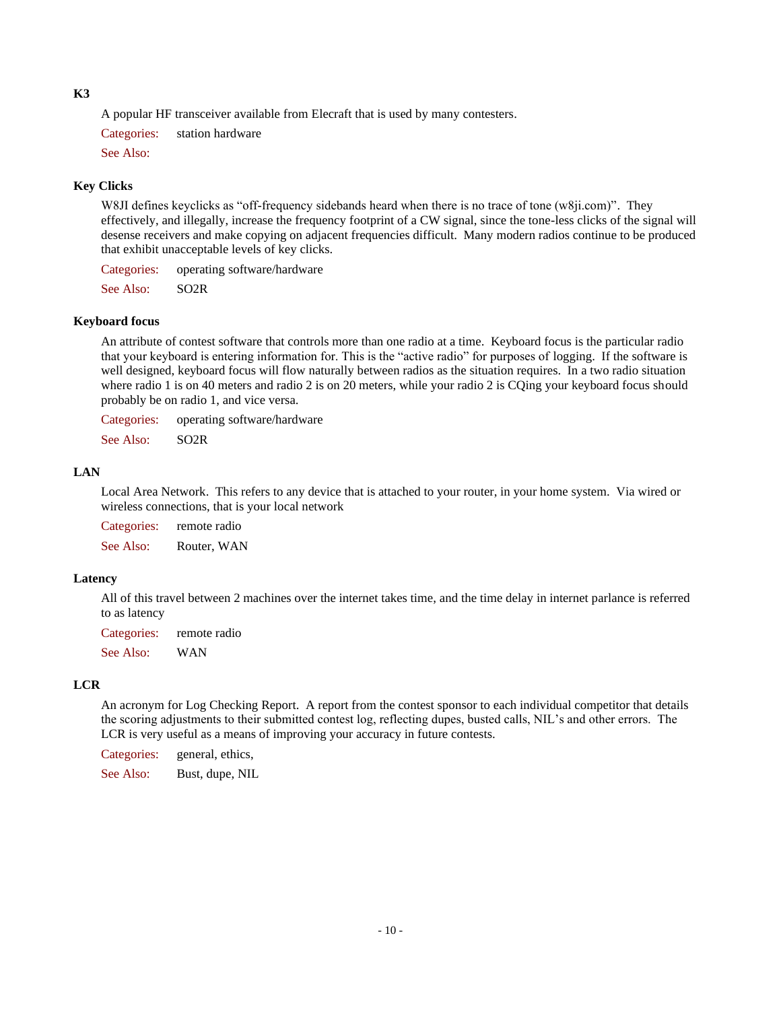#### **K3**

A popular HF transceiver available from Elecraft that is used by many contesters.

Categories: station hardware

See Also:

## **Key Clicks**

W8JI defines keyclicks as "off-frequency sidebands heard when there is no trace of tone (w8ji.com)". They effectively, and illegally, increase the frequency footprint of a CW signal, since the tone-less clicks of the signal will desense receivers and make copying on adjacent frequencies difficult. Many modern radios continue to be produced that exhibit unacceptable levels of key clicks.

Categories: operating software/hardware

See Also: SO2R

### **Keyboard focus**

An attribute of contest software that controls more than one radio at a time. Keyboard focus is the particular radio that your keyboard is entering information for. This is the "active radio" for purposes of logging. If the software is well designed, keyboard focus will flow naturally between radios as the situation requires. In a two radio situation where radio 1 is on 40 meters and radio 2 is on 20 meters, while your radio 2 is CQing your keyboard focus should probably be on radio 1, and vice versa.

Categories: operating software/hardware

See Also: SO2R

### **LAN**

Local Area Network. This refers to any device that is attached to your router, in your home system. Via wired or wireless connections, that is your local network

Categories: remote radio See Also: Router, WAN

### **Latency**

All of this travel between 2 machines over the internet takes time, and the time delay in internet parlance is referred to as latency

Categories: remote radio

See Also: WAN

## **LCR**

An acronym for Log Checking Report. A report from the contest sponsor to each individual competitor that details the scoring adjustments to their submitted contest log, reflecting dupes, busted calls, NIL's and other errors. The LCR is very useful as a means of improving your accuracy in future contests.

Categories: general, ethics,

See Also: Bust, dupe, NIL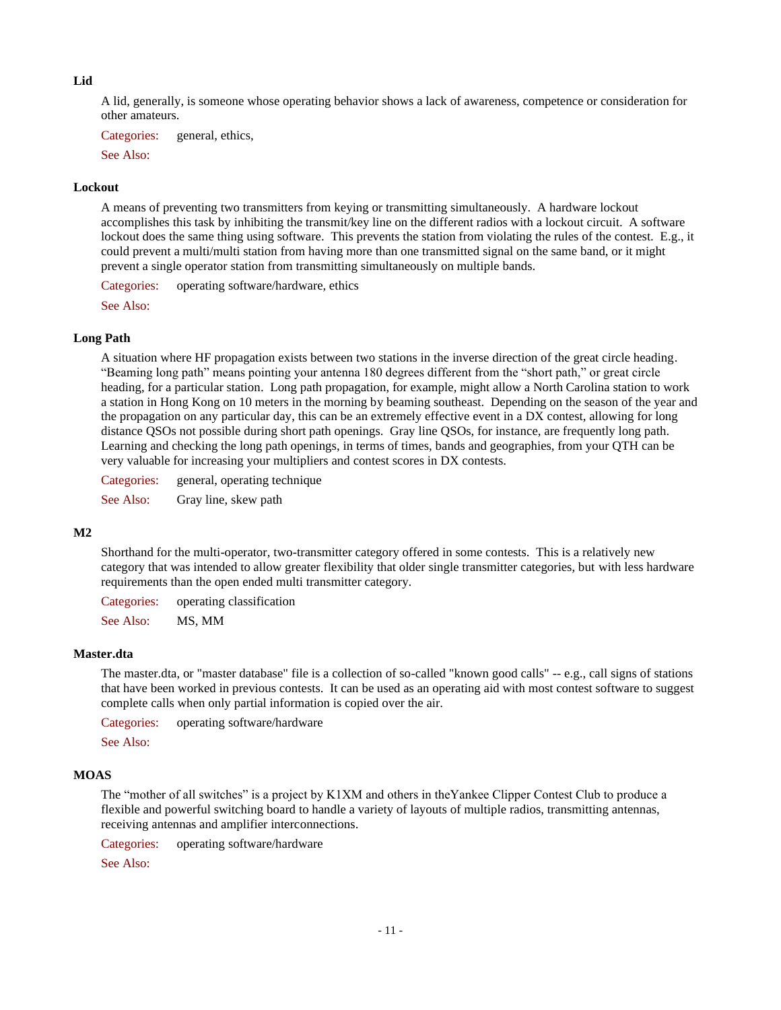#### **Lid**

A lid, generally, is someone whose operating behavior shows a lack of awareness, competence or consideration for other amateurs.

Categories: general, ethics,

See Also:

#### **Lockout**

A means of preventing two transmitters from keying or transmitting simultaneously. A hardware lockout accomplishes this task by inhibiting the transmit/key line on the different radios with a lockout circuit. A software lockout does the same thing using software. This prevents the station from violating the rules of the contest. E.g., it could prevent a multi/multi station from having more than one transmitted signal on the same band, or it might prevent a single operator station from transmitting simultaneously on multiple bands.

Categories: operating software/hardware, ethics

See Also:

#### **Long Path**

A situation where HF propagation exists between two stations in the inverse direction of the great circle heading. "Beaming long path" means pointing your antenna 180 degrees different from the "short path," or great circle heading, for a particular station. Long path propagation, for example, might allow a North Carolina station to work a station in Hong Kong on 10 meters in the morning by beaming southeast. Depending on the season of the year and the propagation on any particular day, this can be an extremely effective event in a DX contest, allowing for long distance QSOs not possible during short path openings. Gray line QSOs, for instance, are frequently long path. Learning and checking the long path openings, in terms of times, bands and geographies, from your QTH can be very valuable for increasing your multipliers and contest scores in DX contests.

Categories: general, operating technique

See Also: Gray line, skew path

## **M2**

Shorthand for the multi-operator, two-transmitter category offered in some contests. This is a relatively new category that was intended to allow greater flexibility that older single transmitter categories, but with less hardware requirements than the open ended multi transmitter category.

Categories: operating classification

See Also: MS, MM

### **Master.dta**

The master.dta, or "master database" file is a collection of so-called "known good calls" -- e.g., call signs of stations that have been worked in previous contests. It can be used as an operating aid with most contest software to suggest complete calls when only partial information is copied over the air.

Categories: operating software/hardware

See Also:

#### **MOAS**

The "mother of all switches" is a project by K1XM and others in theYankee Clipper Contest Club to produce a flexible and powerful switching board to handle a variety of layouts of multiple radios, transmitting antennas, receiving antennas and amplifier interconnections.

Categories: operating software/hardware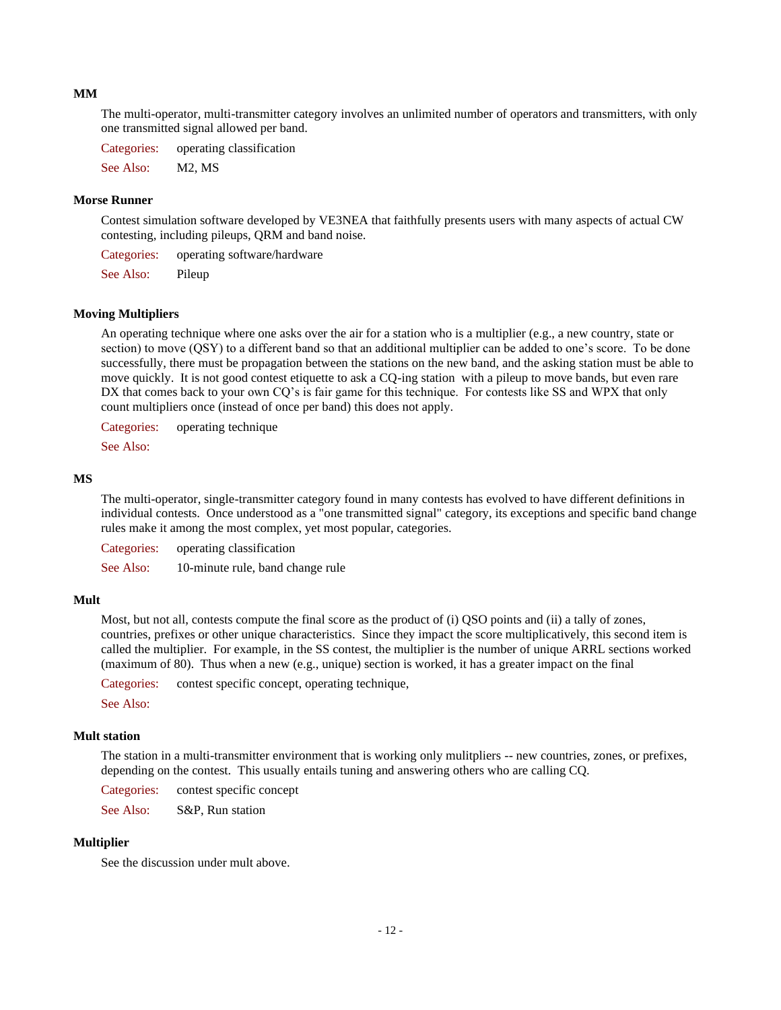#### **MM**

The multi-operator, multi-transmitter category involves an unlimited number of operators and transmitters, with only one transmitted signal allowed per band.

Categories: operating classification

See Also: M2, MS

### **Morse Runner**

Contest simulation software developed by VE3NEA that faithfully presents users with many aspects of actual CW contesting, including pileups, QRM and band noise.

Categories: operating software/hardware

See Also: Pileup

## **Moving Multipliers**

An operating technique where one asks over the air for a station who is a multiplier (e.g., a new country, state or section) to move (QSY) to a different band so that an additional multiplier can be added to one's score. To be done successfully, there must be propagation between the stations on the new band, and the asking station must be able to move quickly. It is not good contest etiquette to ask a CQ-ing station with a pileup to move bands, but even rare DX that comes back to your own CQ's is fair game for this technique. For contests like SS and WPX that only count multipliers once (instead of once per band) this does not apply.

Categories: operating technique

See Also:

### **MS**

The multi-operator, single-transmitter category found in many contests has evolved to have different definitions in individual contests. Once understood as a "one transmitted signal" category, its exceptions and specific band change rules make it among the most complex, yet most popular, categories.

Categories: operating classification See Also: 10-minute rule, band change rule

#### **Mult**

Most, but not all, contests compute the final score as the product of (i) QSO points and (ii) a tally of zones, countries, prefixes or other unique characteristics. Since they impact the score multiplicatively, this second item is called the multiplier. For example, in the SS contest, the multiplier is the number of unique ARRL sections worked (maximum of 80). Thus when a new (e.g., unique) section is worked, it has a greater impact on the final

Categories: contest specific concept, operating technique,

See Also:

## **Mult station**

The station in a multi-transmitter environment that is working only mulitpliers -- new countries, zones, or prefixes, depending on the contest. This usually entails tuning and answering others who are calling CQ.

Categories: contest specific concept

See Also: S&P, Run station

## **Multiplier**

See the discussion under mult above.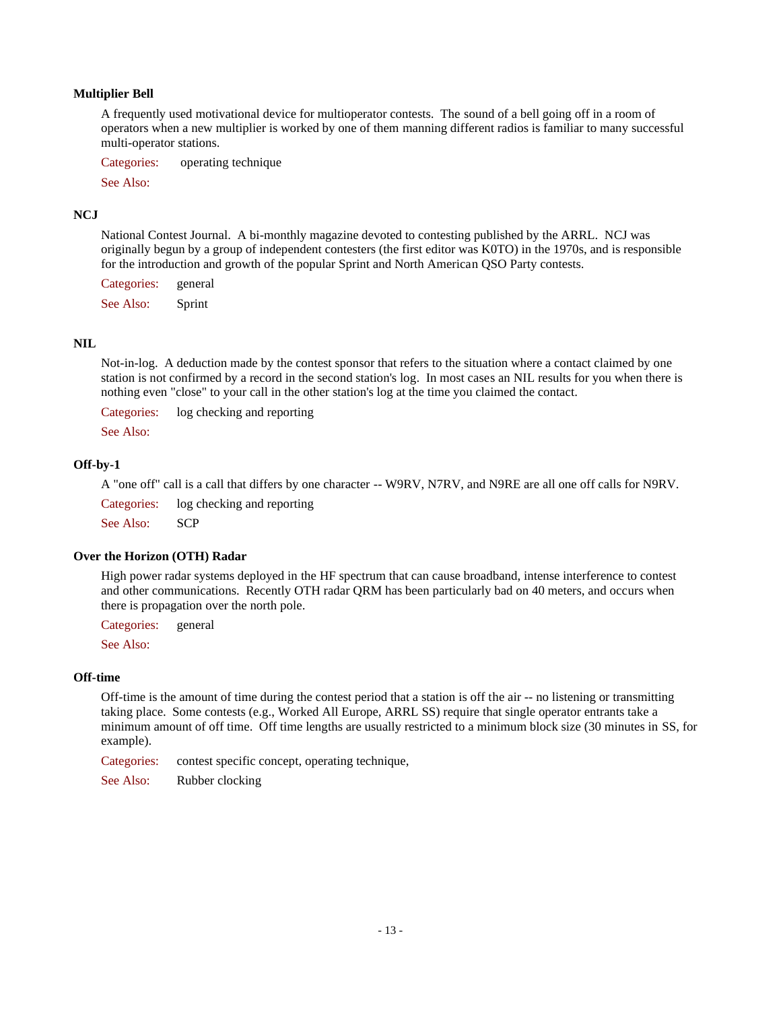## **Multiplier Bell**

A frequently used motivational device for multioperator contests. The sound of a bell going off in a room of operators when a new multiplier is worked by one of them manning different radios is familiar to many successful multi-operator stations.

Categories: operating technique

See Also:

### **NCJ**

National Contest Journal. A bi-monthly magazine devoted to contesting published by the ARRL. NCJ was originally begun by a group of independent contesters (the first editor was K0TO) in the 1970s, and is responsible for the introduction and growth of the popular Sprint and North American QSO Party contests.

Categories: general

See Also: Sprint

### **NIL**

Not-in-log. A deduction made by the contest sponsor that refers to the situation where a contact claimed by one station is not confirmed by a record in the second station's log. In most cases an NIL results for you when there is nothing even "close" to your call in the other station's log at the time you claimed the contact.

Categories: log checking and reporting

See Also:

### **Off-by-1**

A "one off" call is a call that differs by one character -- W9RV, N7RV, and N9RE are all one off calls for N9RV.

Categories: log checking and reporting

See Also: SCP

### **Over the Horizon (OTH) Radar**

High power radar systems deployed in the HF spectrum that can cause broadband, intense interference to contest and other communications. Recently OTH radar QRM has been particularly bad on 40 meters, and occurs when there is propagation over the north pole.

Categories: general

See Also:

### **Off-time**

Off-time is the amount of time during the contest period that a station is off the air -- no listening or transmitting taking place. Some contests (e.g., Worked All Europe, ARRL SS) require that single operator entrants take a minimum amount of off time. Off time lengths are usually restricted to a minimum block size (30 minutes in SS, for example).

Categories: contest specific concept, operating technique,

See Also: Rubber clocking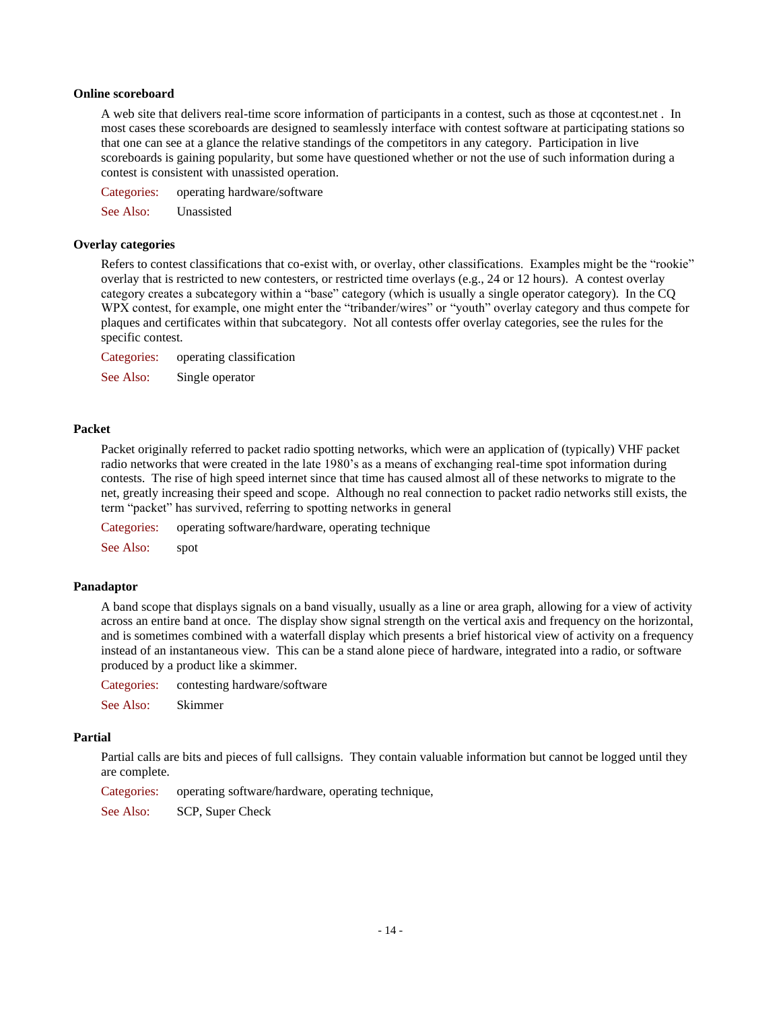### **Online scoreboard**

A web site that delivers real-time score information of participants in a contest, such as those at cqcontest.net . In most cases these scoreboards are designed to seamlessly interface with contest software at participating stations so that one can see at a glance the relative standings of the competitors in any category. Participation in live scoreboards is gaining popularity, but some have questioned whether or not the use of such information during a contest is consistent with unassisted operation.

Categories: operating hardware/software

See Also: Unassisted

### **Overlay categories**

Refers to contest classifications that co-exist with, or overlay, other classifications. Examples might be the "rookie" overlay that is restricted to new contesters, or restricted time overlays (e.g., 24 or 12 hours). A contest overlay category creates a subcategory within a "base" category (which is usually a single operator category). In the CQ WPX contest, for example, one might enter the "tribander/wires" or "youth" overlay category and thus compete for plaques and certificates within that subcategory. Not all contests offer overlay categories, see the rules for the specific contest.

Categories: operating classification

See Also: Single operator

### **Packet**

Packet originally referred to packet radio spotting networks, which were an application of (typically) VHF packet radio networks that were created in the late 1980's as a means of exchanging real-time spot information during contests. The rise of high speed internet since that time has caused almost all of these networks to migrate to the net, greatly increasing their speed and scope. Although no real connection to packet radio networks still exists, the term "packet" has survived, referring to spotting networks in general

Categories: operating software/hardware, operating technique

See Also: spot

### **Panadaptor**

A band scope that displays signals on a band visually, usually as a line or area graph, allowing for a view of activity across an entire band at once. The display show signal strength on the vertical axis and frequency on the horizontal, and is sometimes combined with a waterfall display which presents a brief historical view of activity on a frequency instead of an instantaneous view. This can be a stand alone piece of hardware, integrated into a radio, or software produced by a product like a skimmer.

Categories: contesting hardware/software

See Also: Skimmer

#### **Partial**

Partial calls are bits and pieces of full callsigns. They contain valuable information but cannot be logged until they are complete.

Categories: operating software/hardware, operating technique,

See Also: SCP, Super Check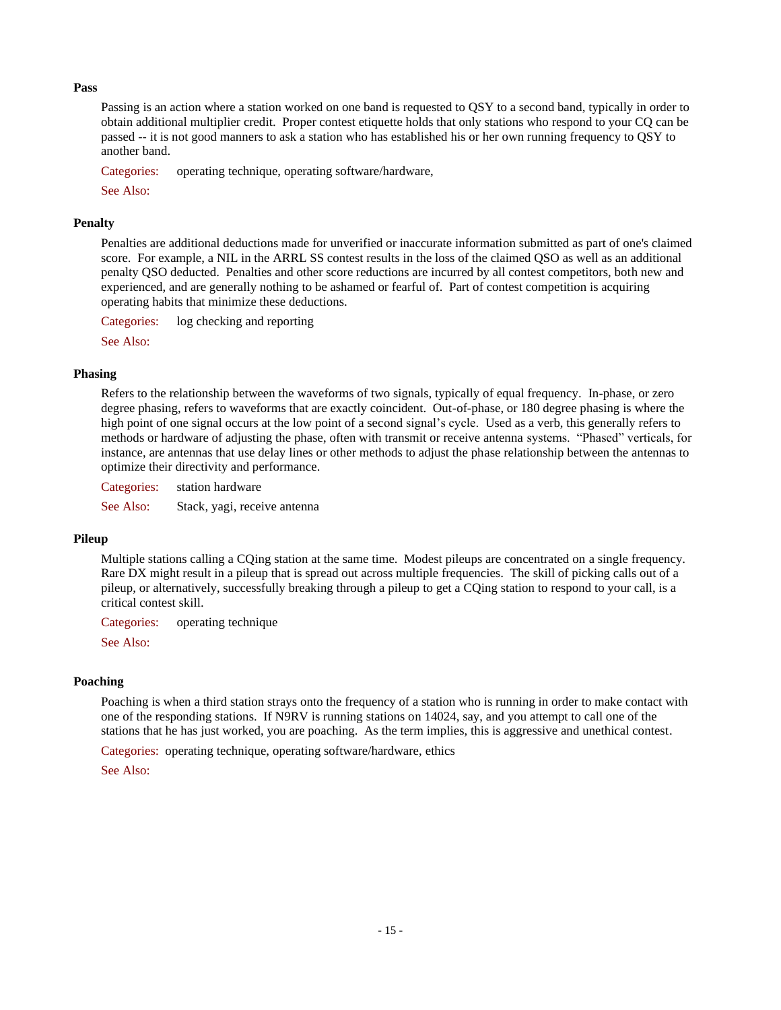### **Pass**

Passing is an action where a station worked on one band is requested to QSY to a second band, typically in order to obtain additional multiplier credit. Proper contest etiquette holds that only stations who respond to your CQ can be passed -- it is not good manners to ask a station who has established his or her own running frequency to QSY to another band.

Categories: operating technique, operating software/hardware,

See Also:

## **Penalty**

Penalties are additional deductions made for unverified or inaccurate information submitted as part of one's claimed score. For example, a NIL in the ARRL SS contest results in the loss of the claimed QSO as well as an additional penalty QSO deducted. Penalties and other score reductions are incurred by all contest competitors, both new and experienced, and are generally nothing to be ashamed or fearful of. Part of contest competition is acquiring operating habits that minimize these deductions.

Categories: log checking and reporting

See Also:

### **Phasing**

Refers to the relationship between the waveforms of two signals, typically of equal frequency. In-phase, or zero degree phasing, refers to waveforms that are exactly coincident. Out-of-phase, or 180 degree phasing is where the high point of one signal occurs at the low point of a second signal's cycle. Used as a verb, this generally refers to methods or hardware of adjusting the phase, often with transmit or receive antenna systems. "Phased" verticals, for instance, are antennas that use delay lines or other methods to adjust the phase relationship between the antennas to optimize their directivity and performance.

Categories: station hardware

See Also: Stack, yagi, receive antenna

## **Pileup**

Multiple stations calling a CQing station at the same time. Modest pileups are concentrated on a single frequency. Rare DX might result in a pileup that is spread out across multiple frequencies. The skill of picking calls out of a pileup, or alternatively, successfully breaking through a pileup to get a CQing station to respond to your call, is a critical contest skill.

Categories: operating technique

See Also:

## **Poaching**

Poaching is when a third station strays onto the frequency of a station who is running in order to make contact with one of the responding stations. If N9RV is running stations on 14024, say, and you attempt to call one of the stations that he has just worked, you are poaching. As the term implies, this is aggressive and unethical contest.

Categories: operating technique, operating software/hardware, ethics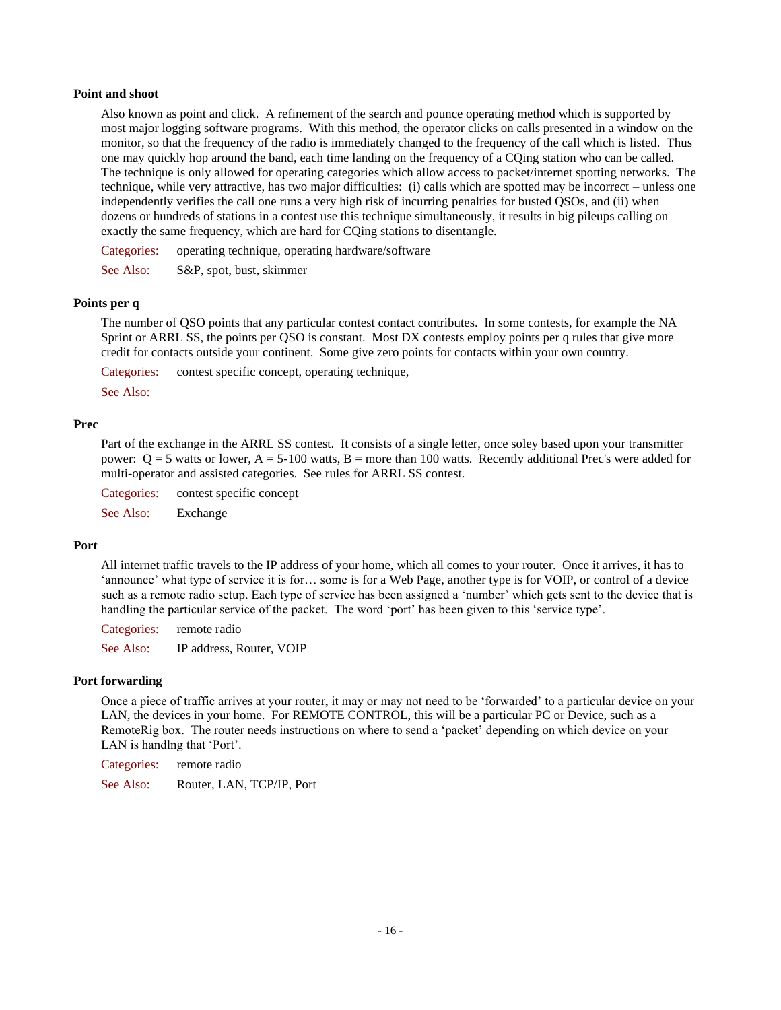### **Point and shoot**

Also known as point and click. A refinement of the search and pounce operating method which is supported by most major logging software programs. With this method, the operator clicks on calls presented in a window on the monitor, so that the frequency of the radio is immediately changed to the frequency of the call which is listed. Thus one may quickly hop around the band, each time landing on the frequency of a CQing station who can be called. The technique is only allowed for operating categories which allow access to packet/internet spotting networks. The technique, while very attractive, has two major difficulties: (i) calls which are spotted may be incorrect – unless one independently verifies the call one runs a very high risk of incurring penalties for busted QSOs, and (ii) when dozens or hundreds of stations in a contest use this technique simultaneously, it results in big pileups calling on exactly the same frequency, which are hard for CQing stations to disentangle.

Categories: operating technique, operating hardware/software

See Also: S&P, spot, bust, skimmer

### **Points per q**

The number of QSO points that any particular contest contact contributes. In some contests, for example the NA Sprint or ARRL SS, the points per QSO is constant. Most DX contests employ points per q rules that give more credit for contacts outside your continent. Some give zero points for contacts within your own country.

Categories: contest specific concept, operating technique,

See Also:

#### **Prec**

Part of the exchange in the ARRL SS contest. It consists of a single letter, once soley based upon your transmitter power:  $Q = 5$  watts or lower,  $A = 5-100$  watts,  $B =$  more than 100 watts. Recently additional Prec's were added for multi-operator and assisted categories. See rules for ARRL SS contest.

Categories: contest specific concept

See Also: Exchange

### **Port**

All internet traffic travels to the IP address of your home, which all comes to your router. Once it arrives, it has to 'announce' what type of service it is for… some is for a Web Page, another type is for VOIP, or control of a device such as a remote radio setup. Each type of service has been assigned a 'number' which gets sent to the device that is handling the particular service of the packet. The word 'port' has been given to this 'service type'.

Categories: remote radio

See Also: IP address, Router, VOIP

## **Port forwarding**

Once a piece of traffic arrives at your router, it may or may not need to be 'forwarded' to a particular device on your LAN, the devices in your home. For REMOTE CONTROL, this will be a particular PC or Device, such as a RemoteRig box. The router needs instructions on where to send a 'packet' depending on which device on your LAN is handlng that 'Port'.

Categories: remote radio

See Also: Router, LAN, TCP/IP, Port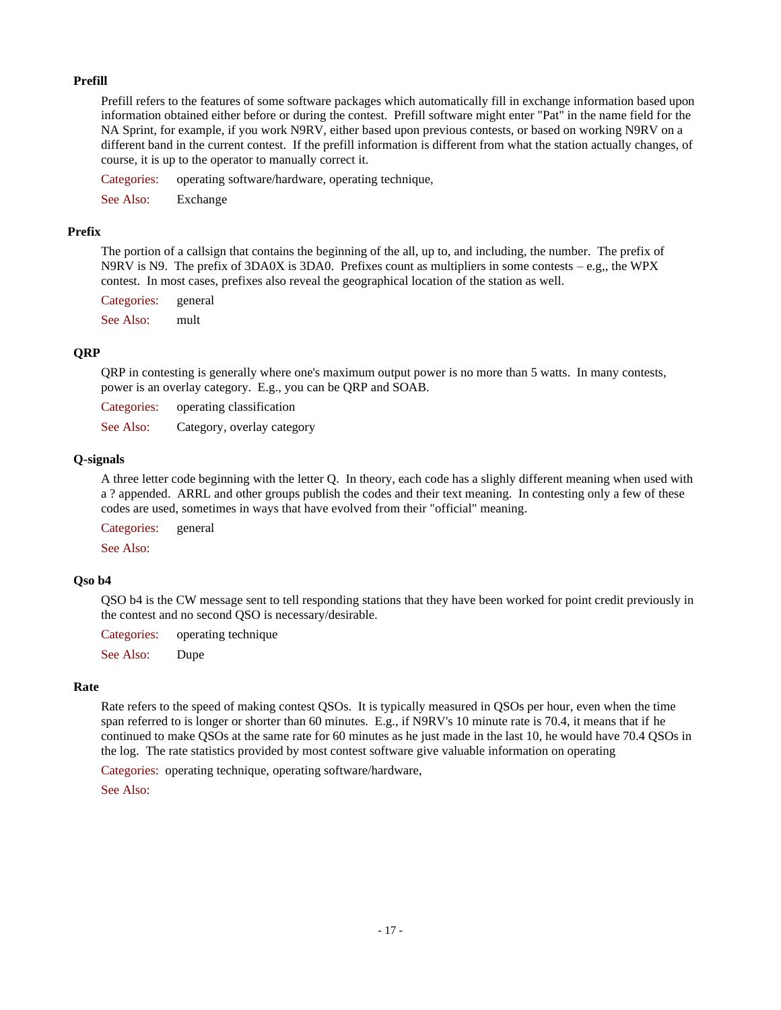## **Prefill**

Prefill refers to the features of some software packages which automatically fill in exchange information based upon information obtained either before or during the contest. Prefill software might enter "Pat" in the name field for the NA Sprint, for example, if you work N9RV, either based upon previous contests, or based on working N9RV on a different band in the current contest. If the prefill information is different from what the station actually changes, of course, it is up to the operator to manually correct it.

Categories: operating software/hardware, operating technique,

See Also: Exchange

## **Prefix**

The portion of a callsign that contains the beginning of the all, up to, and including, the number. The prefix of N9RV is N9. The prefix of 3DA0X is 3DA0. Prefixes count as multipliers in some contests – e.g., the WPX contest. In most cases, prefixes also reveal the geographical location of the station as well.

Categories: general

See Also: mult

## **QRP**

QRP in contesting is generally where one's maximum output power is no more than 5 watts. In many contests, power is an overlay category. E.g., you can be QRP and SOAB.

Categories: operating classification

See Also: Category, overlay category

### **Q-signals**

A three letter code beginning with the letter Q. In theory, each code has a slighly different meaning when used with a ? appended. ARRL and other groups publish the codes and their text meaning. In contesting only a few of these codes are used, sometimes in ways that have evolved from their "official" meaning.

Categories: general

See Also:

## **Qso b4**

QSO b4 is the CW message sent to tell responding stations that they have been worked for point credit previously in the contest and no second QSO is necessary/desirable.

Categories: operating technique

See Also: Dupe

## **Rate**

Rate refers to the speed of making contest QSOs. It is typically measured in QSOs per hour, even when the time span referred to is longer or shorter than 60 minutes. E.g., if N9RV's 10 minute rate is 70.4, it means that if he continued to make QSOs at the same rate for 60 minutes as he just made in the last 10, he would have 70.4 QSOs in the log. The rate statistics provided by most contest software give valuable information on operating

Categories: operating technique, operating software/hardware,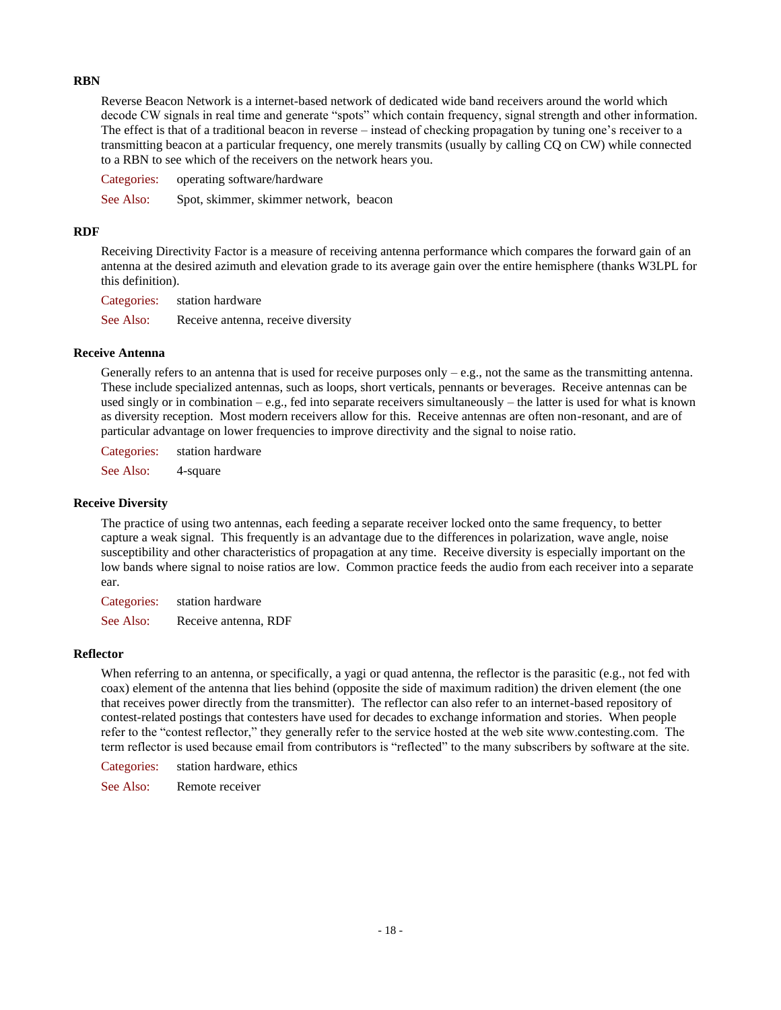## **RBN**

Reverse Beacon Network is a internet-based network of dedicated wide band receivers around the world which decode CW signals in real time and generate "spots" which contain frequency, signal strength and other information. The effect is that of a traditional beacon in reverse – instead of checking propagation by tuning one's receiver to a transmitting beacon at a particular frequency, one merely transmits (usually by calling CQ on CW) while connected to a RBN to see which of the receivers on the network hears you.

Categories: operating software/hardware See Also: Spot, skimmer, skimmer network, beacon

### **RDF**

Receiving Directivity Factor is a measure of receiving antenna performance which compares the forward gain of an antenna at the desired azimuth and elevation grade to its average gain over the entire hemisphere (thanks W3LPL for this definition).

Categories: station hardware See Also: Receive antenna, receive diversity

### **Receive Antenna**

Generally refers to an antenna that is used for receive purposes only  $-e.g.,$  not the same as the transmitting antenna. These include specialized antennas, such as loops, short verticals, pennants or beverages. Receive antennas can be used singly or in combination – e.g., fed into separate receivers simultaneously – the latter is used for what is known as diversity reception. Most modern receivers allow for this. Receive antennas are often non-resonant, and are of particular advantage on lower frequencies to improve directivity and the signal to noise ratio.

Categories: station hardware

See Also: 4-square

### **Receive Diversity**

The practice of using two antennas, each feeding a separate receiver locked onto the same frequency, to better capture a weak signal. This frequently is an advantage due to the differences in polarization, wave angle, noise susceptibility and other characteristics of propagation at any time. Receive diversity is especially important on the low bands where signal to noise ratios are low. Common practice feeds the audio from each receiver into a separate ear.

Categories: station hardware

See Also: Receive antenna, RDF

## **Reflector**

When referring to an antenna, or specifically, a yagi or quad antenna, the reflector is the parasitic (e.g., not fed with coax) element of the antenna that lies behind (opposite the side of maximum radition) the driven element (the one that receives power directly from the transmitter). The reflector can also refer to an internet-based repository of contest-related postings that contesters have used for decades to exchange information and stories. When people refer to the "contest reflector," they generally refer to the service hosted at the web site www.contesting.com. The term reflector is used because email from contributors is "reflected" to the many subscribers by software at the site.

Categories: station hardware, ethics

See Also: Remote receiver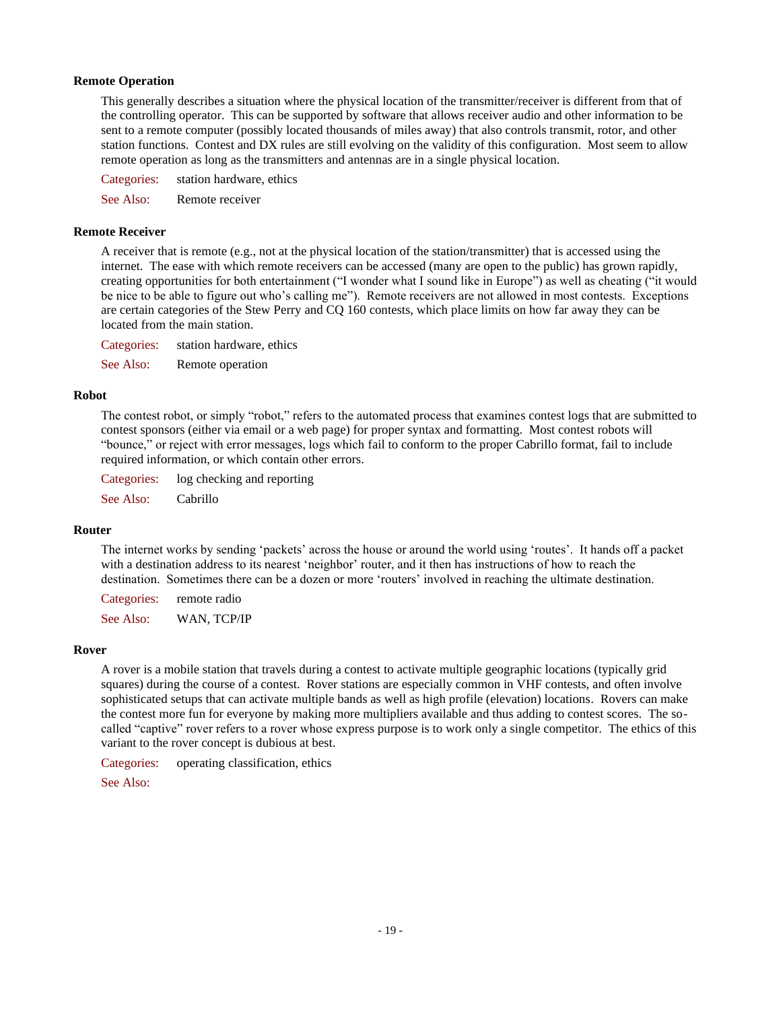### **Remote Operation**

This generally describes a situation where the physical location of the transmitter/receiver is different from that of the controlling operator. This can be supported by software that allows receiver audio and other information to be sent to a remote computer (possibly located thousands of miles away) that also controls transmit, rotor, and other station functions. Contest and DX rules are still evolving on the validity of this configuration. Most seem to allow remote operation as long as the transmitters and antennas are in a single physical location.

Categories: station hardware, ethics

See Also: Remote receiver

#### **Remote Receiver**

A receiver that is remote (e.g., not at the physical location of the station/transmitter) that is accessed using the internet. The ease with which remote receivers can be accessed (many are open to the public) has grown rapidly, creating opportunities for both entertainment ("I wonder what I sound like in Europe") as well as cheating ("it would be nice to be able to figure out who's calling me"). Remote receivers are not allowed in most contests. Exceptions are certain categories of the Stew Perry and CQ 160 contests, which place limits on how far away they can be located from the main station.

Categories: station hardware, ethics

See Also: Remote operation

#### **Robot**

The contest robot, or simply "robot," refers to the automated process that examines contest logs that are submitted to contest sponsors (either via email or a web page) for proper syntax and formatting. Most contest robots will "bounce," or reject with error messages, logs which fail to conform to the proper Cabrillo format, fail to include required information, or which contain other errors.

Categories: log checking and reporting

See Also: Cabrillo

### **Router**

The internet works by sending 'packets' across the house or around the world using 'routes'. It hands off a packet with a destination address to its nearest 'neighbor' router, and it then has instructions of how to reach the destination. Sometimes there can be a dozen or more 'routers' involved in reaching the ultimate destination.

Categories: remote radio See Also: WAN, TCP/IP

#### **Rover**

A rover is a mobile station that travels during a contest to activate multiple geographic locations (typically grid squares) during the course of a contest. Rover stations are especially common in VHF contests, and often involve sophisticated setups that can activate multiple bands as well as high profile (elevation) locations. Rovers can make the contest more fun for everyone by making more multipliers available and thus adding to contest scores. The socalled "captive" rover refers to a rover whose express purpose is to work only a single competitor. The ethics of this variant to the rover concept is dubious at best.

Categories: operating classification, ethics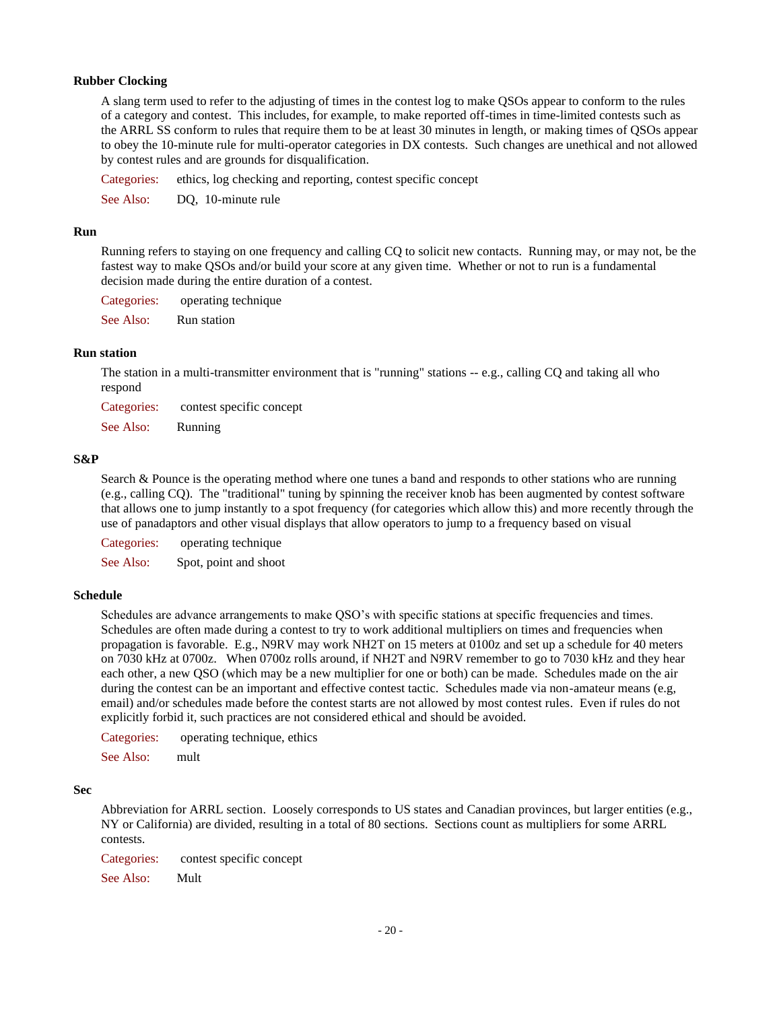### **Rubber Clocking**

A slang term used to refer to the adjusting of times in the contest log to make QSOs appear to conform to the rules of a category and contest. This includes, for example, to make reported off-times in time-limited contests such as the ARRL SS conform to rules that require them to be at least 30 minutes in length, or making times of QSOs appear to obey the 10-minute rule for multi-operator categories in DX contests. Such changes are unethical and not allowed by contest rules and are grounds for disqualification.

Categories: ethics, log checking and reporting, contest specific concept

See Also: DO, 10-minute rule

### **Run**

Running refers to staying on one frequency and calling CQ to solicit new contacts. Running may, or may not, be the fastest way to make QSOs and/or build your score at any given time. Whether or not to run is a fundamental decision made during the entire duration of a contest.

Categories: operating technique

See Also: Run station

### **Run station**

The station in a multi-transmitter environment that is "running" stations -- e.g., calling CQ and taking all who respond

Categories: contest specific concept

See Also: Running

### **S&P**

Search & Pounce is the operating method where one tunes a band and responds to other stations who are running (e.g., calling CQ). The "traditional" tuning by spinning the receiver knob has been augmented by contest software that allows one to jump instantly to a spot frequency (for categories which allow this) and more recently through the use of panadaptors and other visual displays that allow operators to jump to a frequency based on visual

Categories: operating technique

See Also: Spot, point and shoot

### **Schedule**

Schedules are advance arrangements to make QSO's with specific stations at specific frequencies and times. Schedules are often made during a contest to try to work additional multipliers on times and frequencies when propagation is favorable. E.g., N9RV may work NH2T on 15 meters at 0100z and set up a schedule for 40 meters on 7030 kHz at 0700z. When 0700z rolls around, if NH2T and N9RV remember to go to 7030 kHz and they hear each other, a new QSO (which may be a new multiplier for one or both) can be made. Schedules made on the air during the contest can be an important and effective contest tactic. Schedules made via non-amateur means (e.g, email) and/or schedules made before the contest starts are not allowed by most contest rules. Even if rules do not explicitly forbid it, such practices are not considered ethical and should be avoided.

Categories: operating technique, ethics

See Also: mult

#### **Sec**

Abbreviation for ARRL section. Loosely corresponds to US states and Canadian provinces, but larger entities (e.g., NY or California) are divided, resulting in a total of 80 sections. Sections count as multipliers for some ARRL contests.

Categories: contest specific concept

See Also: Mult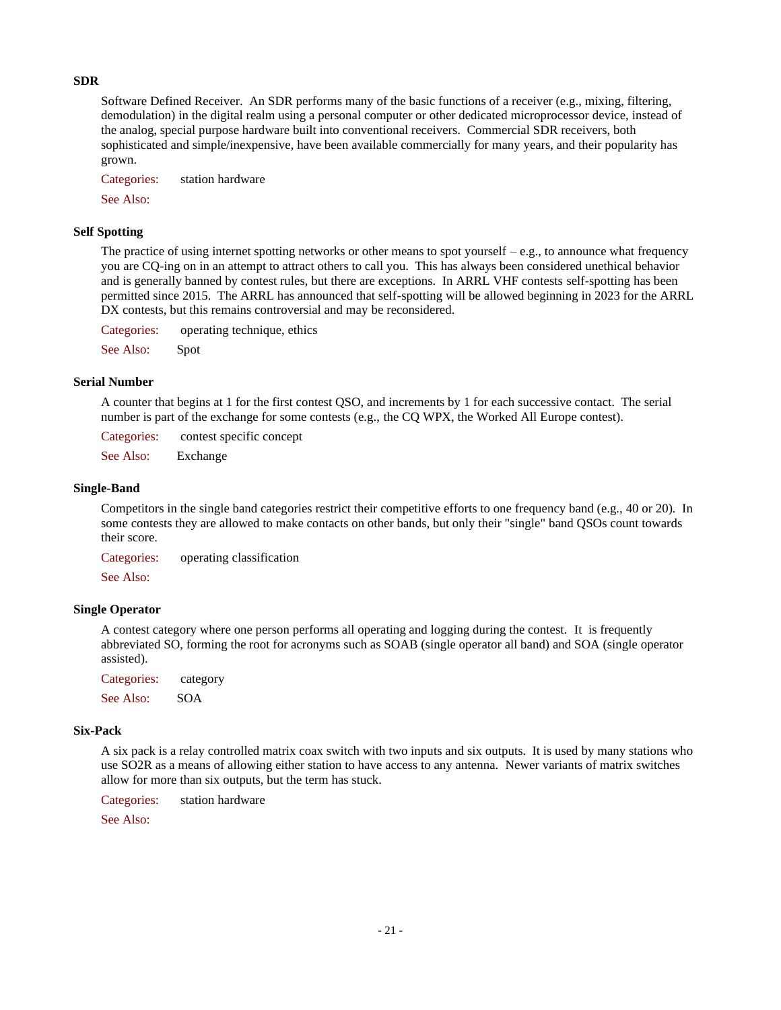## **SDR**

Software Defined Receiver. An SDR performs many of the basic functions of a receiver (e.g., mixing, filtering, demodulation) in the digital realm using a personal computer or other dedicated microprocessor device, instead of the analog, special purpose hardware built into conventional receivers. Commercial SDR receivers, both sophisticated and simple/inexpensive, have been available commercially for many years, and their popularity has grown.

Categories: station hardware

See Also:

## **Self Spotting**

The practice of using internet spotting networks or other means to spot yourself  $-e.g.,$  to announce what frequency you are CQ-ing on in an attempt to attract others to call you. This has always been considered unethical behavior and is generally banned by contest rules, but there are exceptions. In ARRL VHF contests self-spotting has been permitted since 2015. The ARRL has announced that self-spotting will be allowed beginning in 2023 for the ARRL DX contests, but this remains controversial and may be reconsidered.

Categories: operating technique, ethics

See Also: Spot

### **Serial Number**

A counter that begins at 1 for the first contest QSO, and increments by 1 for each successive contact. The serial number is part of the exchange for some contests (e.g., the CQ WPX, the Worked All Europe contest).

Categories: contest specific concept

See Also: Exchange

#### **Single-Band**

Competitors in the single band categories restrict their competitive efforts to one frequency band (e.g., 40 or 20). In some contests they are allowed to make contacts on other bands, but only their "single" band QSOs count towards their score.

Categories: operating classification

See Also:

### **Single Operator**

A contest category where one person performs all operating and logging during the contest. It is frequently abbreviated SO, forming the root for acronyms such as SOAB (single operator all band) and SOA (single operator assisted).

Categories: category

See Also: SOA

### **Six-Pack**

A six pack is a relay controlled matrix coax switch with two inputs and six outputs. It is used by many stations who use SO2R as a means of allowing either station to have access to any antenna. Newer variants of matrix switches allow for more than six outputs, but the term has stuck.

Categories: station hardware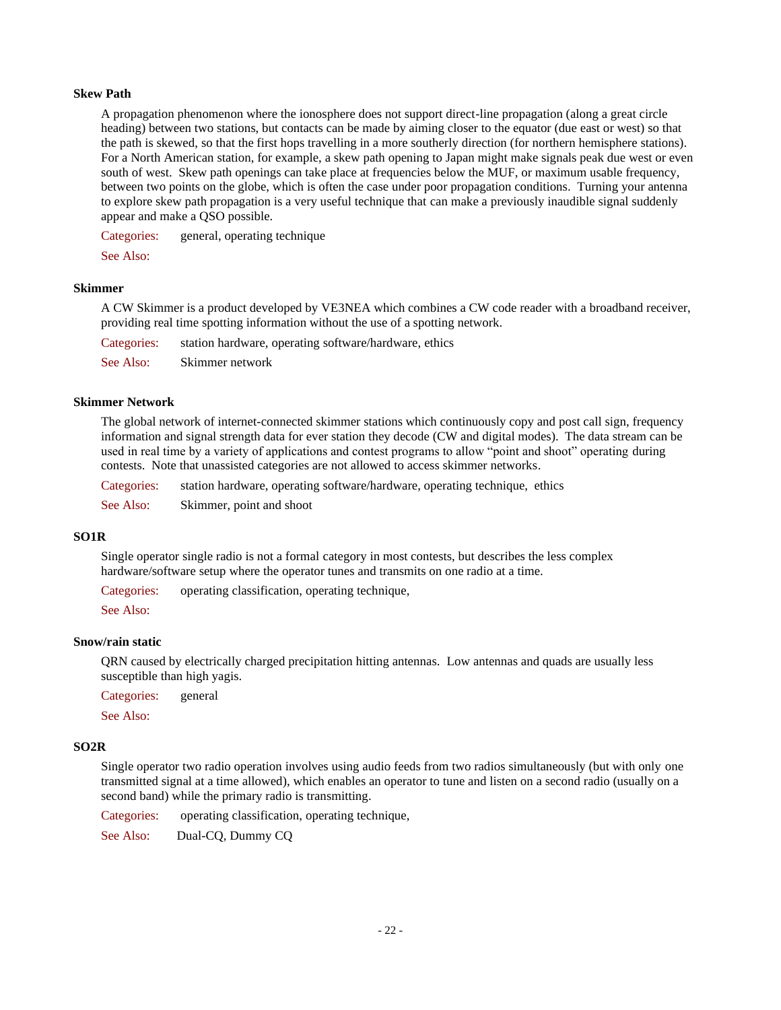### **Skew Path**

A propagation phenomenon where the ionosphere does not support direct-line propagation (along a great circle heading) between two stations, but contacts can be made by aiming closer to the equator (due east or west) so that the path is skewed, so that the first hops travelling in a more southerly direction (for northern hemisphere stations). For a North American station, for example, a skew path opening to Japan might make signals peak due west or even south of west. Skew path openings can take place at frequencies below the MUF, or maximum usable frequency, between two points on the globe, which is often the case under poor propagation conditions. Turning your antenna to explore skew path propagation is a very useful technique that can make a previously inaudible signal suddenly appear and make a QSO possible.

Categories: general, operating technique

See Also:

#### **Skimmer**

A CW Skimmer is a product developed by VE3NEA which combines a CW code reader with a broadband receiver, providing real time spotting information without the use of a spotting network.

Categories: station hardware, operating software/hardware, ethics See Also: Skimmer network

#### **Skimmer Network**

The global network of internet-connected skimmer stations which continuously copy and post call sign, frequency information and signal strength data for ever station they decode (CW and digital modes). The data stream can be used in real time by a variety of applications and contest programs to allow "point and shoot" operating during contests. Note that unassisted categories are not allowed to access skimmer networks.

| Categories: | station hardware, operating software/hardware, operating technique, ethics |
|-------------|----------------------------------------------------------------------------|
| See Also:   | Skimmer, point and shoot                                                   |

### **SO1R**

Single operator single radio is not a formal category in most contests, but describes the less complex hardware/software setup where the operator tunes and transmits on one radio at a time.

Categories: operating classification, operating technique,

See Also:

### **Snow/rain static**

QRN caused by electrically charged precipitation hitting antennas. Low antennas and quads are usually less susceptible than high yagis.

Categories: general

See Also:

### **SO2R**

Single operator two radio operation involves using audio feeds from two radios simultaneously (but with only one transmitted signal at a time allowed), which enables an operator to tune and listen on a second radio (usually on a second band) while the primary radio is transmitting.

Categories: operating classification, operating technique,

See Also: Dual-CQ, Dummy CQ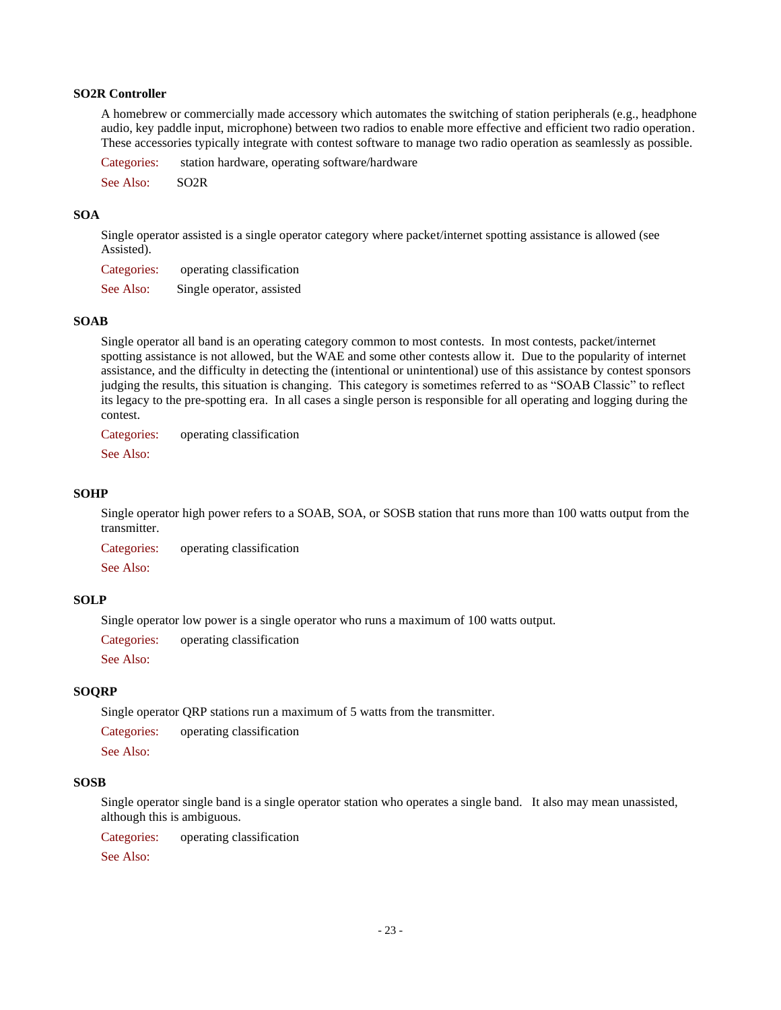### **SO2R Controller**

A homebrew or commercially made accessory which automates the switching of station peripherals (e.g., headphone audio, key paddle input, microphone) between two radios to enable more effective and efficient two radio operation. These accessories typically integrate with contest software to manage two radio operation as seamlessly as possible.

Categories: station hardware, operating software/hardware See Also: SO2R

### **SOA**

Single operator assisted is a single operator category where packet/internet spotting assistance is allowed (see Assisted).

Categories: operating classification

See Also: Single operator, assisted

## **SOAB**

Single operator all band is an operating category common to most contests. In most contests, packet/internet spotting assistance is not allowed, but the WAE and some other contests allow it. Due to the popularity of internet assistance, and the difficulty in detecting the (intentional or unintentional) use of this assistance by contest sponsors judging the results, this situation is changing. This category is sometimes referred to as "SOAB Classic" to reflect its legacy to the pre-spotting era. In all cases a single person is responsible for all operating and logging during the contest.

Categories: operating classification

See Also:

### **SOHP**

Single operator high power refers to a SOAB, SOA, or SOSB station that runs more than 100 watts output from the transmitter.

Categories: operating classification

See Also:

## **SOLP**

Single operator low power is a single operator who runs a maximum of 100 watts output.

Categories: operating classification

See Also:

## **SOQRP**

Single operator QRP stations run a maximum of 5 watts from the transmitter.

Categories: operating classification

See Also:

## **SOSB**

Single operator single band is a single operator station who operates a single band. It also may mean unassisted, although this is ambiguous.

Categories: operating classification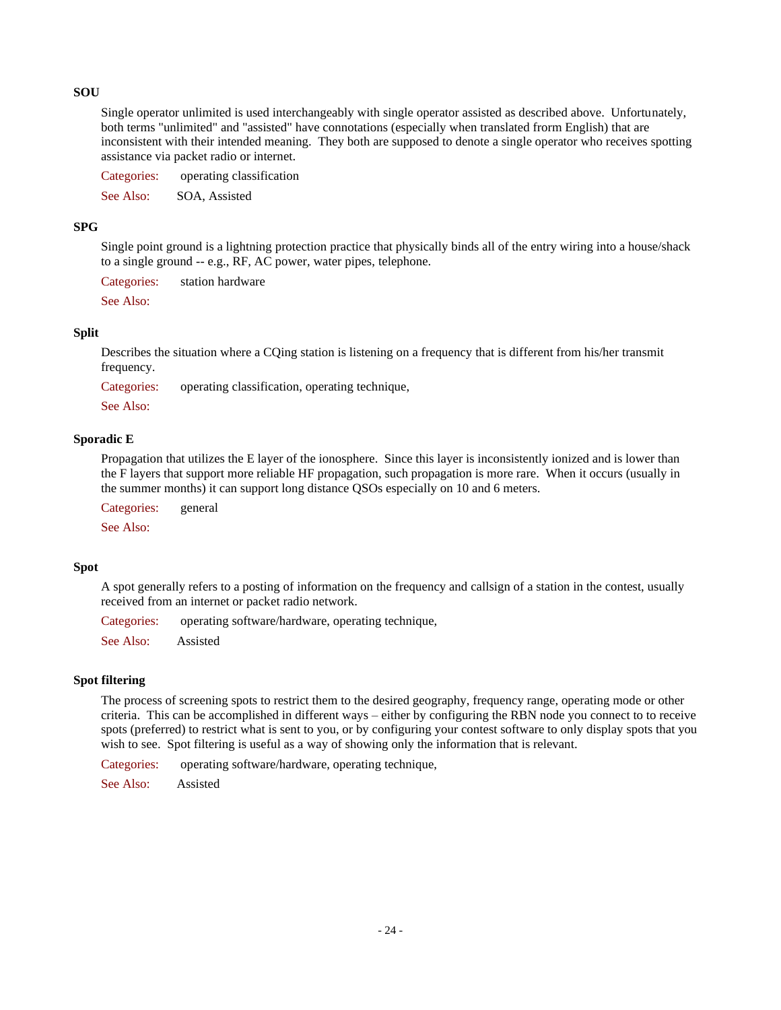## **SOU**

Single operator unlimited is used interchangeably with single operator assisted as described above. Unfortunately, both terms "unlimited" and "assisted" have connotations (especially when translated frorm English) that are inconsistent with their intended meaning. They both are supposed to denote a single operator who receives spotting assistance via packet radio or internet.

Categories: operating classification

See Also: SOA, Assisted

### **SPG**

Single point ground is a lightning protection practice that physically binds all of the entry wiring into a house/shack to a single ground -- e.g., RF, AC power, water pipes, telephone.

Categories: station hardware

See Also:

### **Split**

Describes the situation where a CQing station is listening on a frequency that is different from his/her transmit frequency.

Categories: operating classification, operating technique,

See Also:

### **Sporadic E**

Propagation that utilizes the E layer of the ionosphere. Since this layer is inconsistently ionized and is lower than the F layers that support more reliable HF propagation, such propagation is more rare. When it occurs (usually in the summer months) it can support long distance QSOs especially on 10 and 6 meters.

Categories: general

See Also:

## **Spot**

A spot generally refers to a posting of information on the frequency and callsign of a station in the contest, usually received from an internet or packet radio network.

Categories: operating software/hardware, operating technique,

See Also: Assisted

## **Spot filtering**

The process of screening spots to restrict them to the desired geography, frequency range, operating mode or other criteria. This can be accomplished in different ways – either by configuring the RBN node you connect to to receive spots (preferred) to restrict what is sent to you, or by configuring your contest software to only display spots that you wish to see. Spot filtering is useful as a way of showing only the information that is relevant.

Categories: operating software/hardware, operating technique,

See Also: Assisted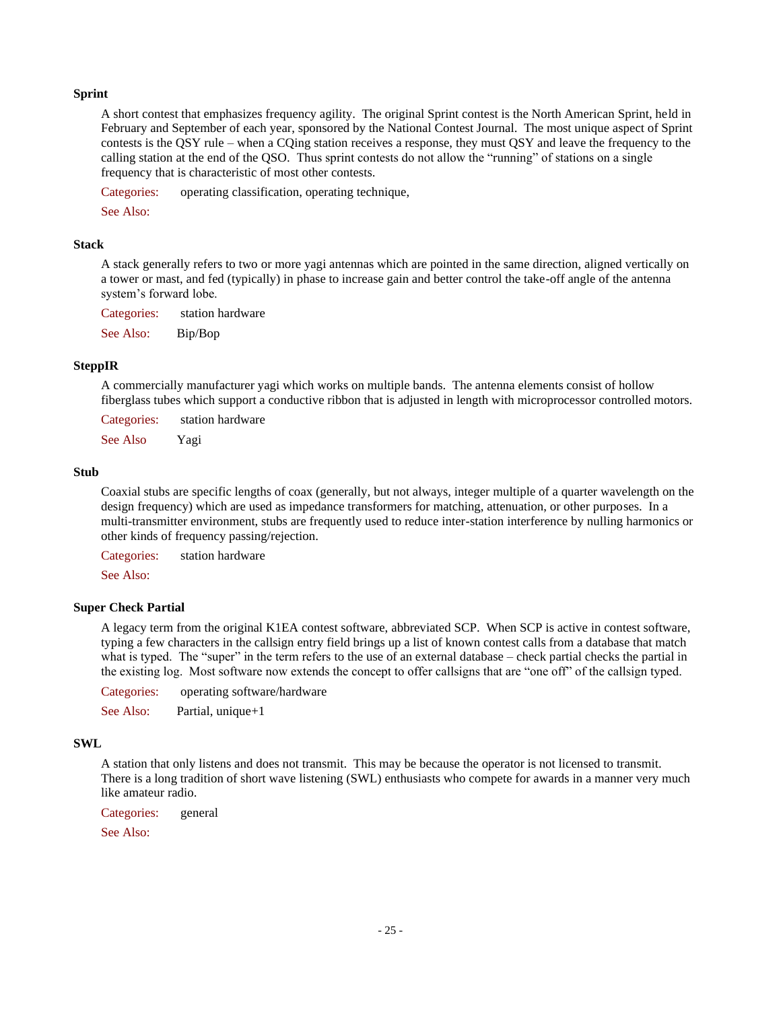### **Sprint**

A short contest that emphasizes frequency agility. The original Sprint contest is the North American Sprint, held in February and September of each year, sponsored by the National Contest Journal. The most unique aspect of Sprint contests is the QSY rule – when a CQing station receives a response, they must QSY and leave the frequency to the calling station at the end of the QSO. Thus sprint contests do not allow the "running" of stations on a single frequency that is characteristic of most other contests.

Categories: operating classification, operating technique,

See Also:

### **Stack**

A stack generally refers to two or more yagi antennas which are pointed in the same direction, aligned vertically on a tower or mast, and fed (typically) in phase to increase gain and better control the take-off angle of the antenna system's forward lobe.

Categories: station hardware

See Also: Bip/Bop

### **SteppIR**

A commercially manufacturer yagi which works on multiple bands. The antenna elements consist of hollow fiberglass tubes which support a conductive ribbon that is adjusted in length with microprocessor controlled motors.

Categories: station hardware

See Also Yagi

### **Stub**

Coaxial stubs are specific lengths of coax (generally, but not always, integer multiple of a quarter wavelength on the design frequency) which are used as impedance transformers for matching, attenuation, or other purposes. In a multi-transmitter environment, stubs are frequently used to reduce inter-station interference by nulling harmonics or other kinds of frequency passing/rejection.

Categories: station hardware

See Also:

### **Super Check Partial**

A legacy term from the original K1EA contest software, abbreviated SCP. When SCP is active in contest software, typing a few characters in the callsign entry field brings up a list of known contest calls from a database that match what is typed. The "super" in the term refers to the use of an external database – check partial checks the partial in the existing log. Most software now extends the concept to offer callsigns that are "one off" of the callsign typed.

Categories: operating software/hardware

See Also: Partial, unique+1

### **SWL**

A station that only listens and does not transmit. This may be because the operator is not licensed to transmit. There is a long tradition of short wave listening (SWL) enthusiasts who compete for awards in a manner very much like amateur radio.

Categories: general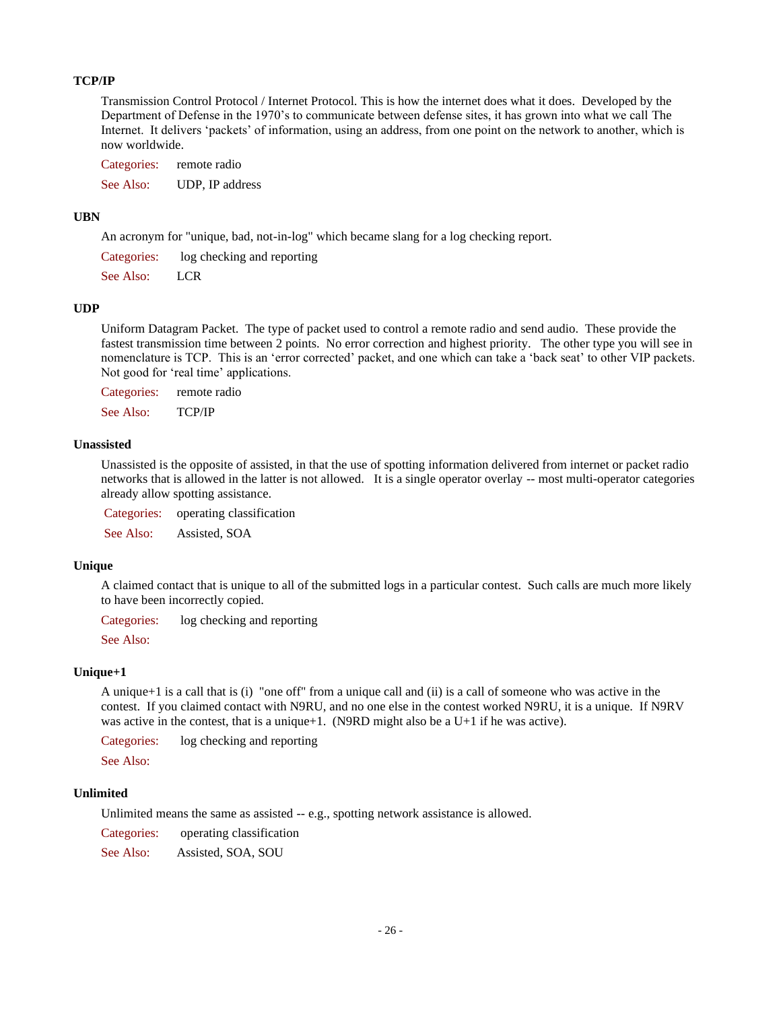## **TCP/IP**

Transmission Control Protocol / Internet Protocol. This is how the internet does what it does. Developed by the Department of Defense in the 1970's to communicate between defense sites, it has grown into what we call The Internet. It delivers 'packets' of information, using an address, from one point on the network to another, which is now worldwide.

Categories: remote radio See Also: UDP, IP address

## **UBN**

An acronym for "unique, bad, not-in-log" which became slang for a log checking report.

| Categories: | log checking and reporting |
|-------------|----------------------------|
| See Also:   | <b>LCR</b>                 |

### **UDP**

Uniform Datagram Packet. The type of packet used to control a remote radio and send audio. These provide the fastest transmission time between 2 points. No error correction and highest priority. The other type you will see in nomenclature is TCP. This is an 'error corrected' packet, and one which can take a 'back seat' to other VIP packets. Not good for 'real time' applications.

Categories: remote radio

See Also: TCP/IP

### **Unassisted**

Unassisted is the opposite of assisted, in that the use of spotting information delivered from internet or packet radio networks that is allowed in the latter is not allowed. It is a single operator overlay -- most multi-operator categories already allow spotting assistance.

Categories: operating classification

See Also: Assisted, SOA

### **Unique**

A claimed contact that is unique to all of the submitted logs in a particular contest. Such calls are much more likely to have been incorrectly copied.

Categories: log checking and reporting

See Also:

## **Unique+1**

A unique+1 is a call that is (i) "one off" from a unique call and (ii) is a call of someone who was active in the contest. If you claimed contact with N9RU, and no one else in the contest worked N9RU, it is a unique. If N9RV was active in the contest, that is a unique+1. (N9RD might also be a U+1 if he was active).

Categories: log checking and reporting

See Also:

## **Unlimited**

Unlimited means the same as assisted -- e.g., spotting network assistance is allowed.

Categories: operating classification

See Also: Assisted, SOA, SOU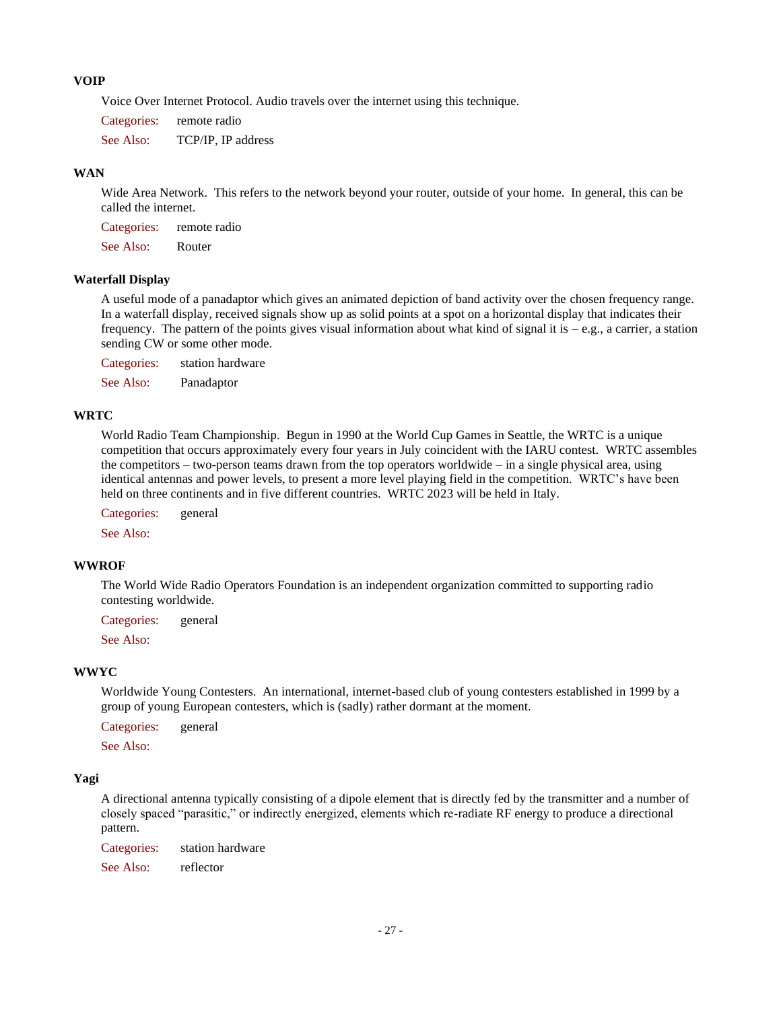## **VOIP**

Voice Over Internet Protocol. Audio travels over the internet using this technique.

Categories: remote radio See Also: TCP/IP, IP address

### **WAN**

Wide Area Network. This refers to the network beyond your router, outside of your home. In general, this can be called the internet.

Categories: remote radio

See Also: Router

## **Waterfall Display**

A useful mode of a panadaptor which gives an animated depiction of band activity over the chosen frequency range. In a waterfall display, received signals show up as solid points at a spot on a horizontal display that indicates their frequency. The pattern of the points gives visual information about what kind of signal it is  $-e.g.,$  a carrier, a station sending CW or some other mode.

Categories: station hardware

See Also: Panadaptor

### **WRTC**

World Radio Team Championship. Begun in 1990 at the World Cup Games in Seattle, the WRTC is a unique competition that occurs approximately every four years in July coincident with the IARU contest. WRTC assembles the competitors – two-person teams drawn from the top operators worldwide – in a single physical area, using identical antennas and power levels, to present a more level playing field in the competition. WRTC's have been held on three continents and in five different countries. WRTC 2023 will be held in Italy.

Categories: general

See Also:

#### **WWROF**

The World Wide Radio Operators Foundation is an independent organization committed to supporting radio contesting worldwide.

Categories: general

See Also:

#### **WWYC**

Worldwide Young Contesters. An international, internet-based club of young contesters established in 1999 by a group of young European contesters, which is (sadly) rather dormant at the moment.

Categories: general

See Also:

#### **Yagi**

A directional antenna typically consisting of a dipole element that is directly fed by the transmitter and a number of closely spaced "parasitic," or indirectly energized, elements which re-radiate RF energy to produce a directional pattern.

Categories: station hardware See Also: reflector

- 27 -